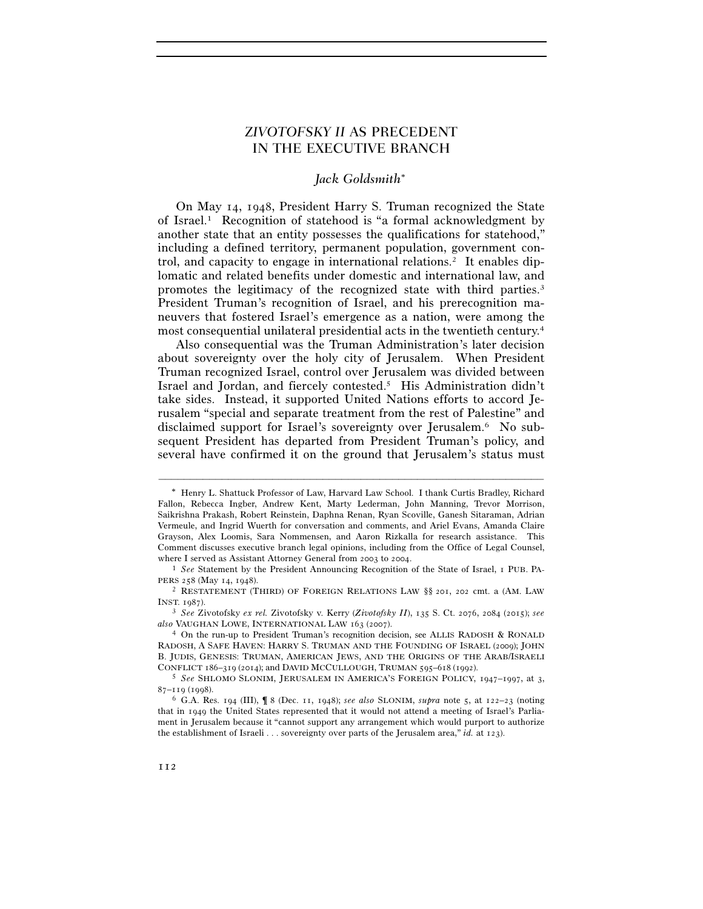# *ZIVOTOFSKY II* AS PRECEDENT IN THE EXECUTIVE BRANCH

# *Jack Goldsmith*

On May 14, 1948, President Harry S. Truman recognized the State of Israel.1 Recognition of statehood is "a formal acknowledgment by another state that an entity possesses the qualifications for statehood," including a defined territory, permanent population, government control, and capacity to engage in international relations.<sup>2</sup> It enables diplomatic and related benefits under domestic and international law, and promotes the legitimacy of the recognized state with third parties.3 President Truman's recognition of Israel, and his prerecognition maneuvers that fostered Israel's emergence as a nation, were among the most consequential unilateral presidential acts in the twentieth century.4

Also consequential was the Truman Administration's later decision about sovereignty over the holy city of Jerusalem. When President Truman recognized Israel, control over Jerusalem was divided between Israel and Jordan, and fiercely contested.5 His Administration didn't take sides. Instead, it supported United Nations efforts to accord Jerusalem "special and separate treatment from the rest of Palestine" and disclaimed support for Israel's sovereignty over Jerusalem.6 No subsequent President has departed from President Truman's policy, and several have confirmed it on the ground that Jerusalem's status must

Henry L. Shattuck Professor of Law, Harvard Law School. I thank Curtis Bradley, Richard Fallon, Rebecca Ingber, Andrew Kent, Marty Lederman, John Manning, Trevor Morrison, Saikrishna Prakash, Robert Reinstein, Daphna Renan, Ryan Scoville, Ganesh Sitaraman, Adrian Vermeule, and Ingrid Wuerth for conversation and comments, and Ariel Evans, Amanda Claire Grayson, Alex Loomis, Sara Nommensen, and Aaron Rizkalla for research assistance. This Comment discusses executive branch legal opinions, including from the Office of Legal Counsel, where I served as Assistant Attorney General from 2003 to 2004.<br><sup>1</sup> *See* Statement by the President Announcing Recognition of the State of Israel, 1 PUB. PA-

PERS 258 (May 14, 1948).<br><sup>2</sup> RESTATEMENT (THIRD) OF FOREIGN RELATIONS LAW §§ 201, 202 cmt. a (AM. LAW

INST. 1987). 3 *See* Zivotofsky *ex rel.* Zivotofsky v. Kerry (*Zivotofsky II*), 135 S. Ct. 2076, 2084 (2015); *see* 

<sup>&</sup>lt;sup>4</sup> On the run-up to President Truman's recognition decision, see ALLIS RADOSH & RONALD RADOSH, A SAFE HAVEN: HARRY S. TRUMAN AND THE FOUNDING OF ISRAEL (2009); JOHN B. JUDIS, GENESIS: TRUMAN, AMERICAN JEWS, AND THE ORIGINS OF THE ARAB/ISRAELI CONFLICT <sup>186</sup>–319 (2014); and DAVID MCCULLOUGH, TRUMAN <sup>595</sup>–618 (1992). 5 *See* SHLOMO SLONIM, JERUSALEM IN AMERICA'S FOREIGN POLICY, 1947–1997, at 3,

<sup>87</sup>–119 (1998). 6 G.A. Res. 194 (III), ¶ 8 (Dec. 11, 1948); *see also* SLONIM, *supra* note 5, at 122–23 (noting

that in 1949 the United States represented that it would not attend a meeting of Israel's Parliament in Jerusalem because it "cannot support any arrangement which would purport to authorize the establishment of Israeli . . . sovereignty over parts of the Jerusalem area," *id.* at 123).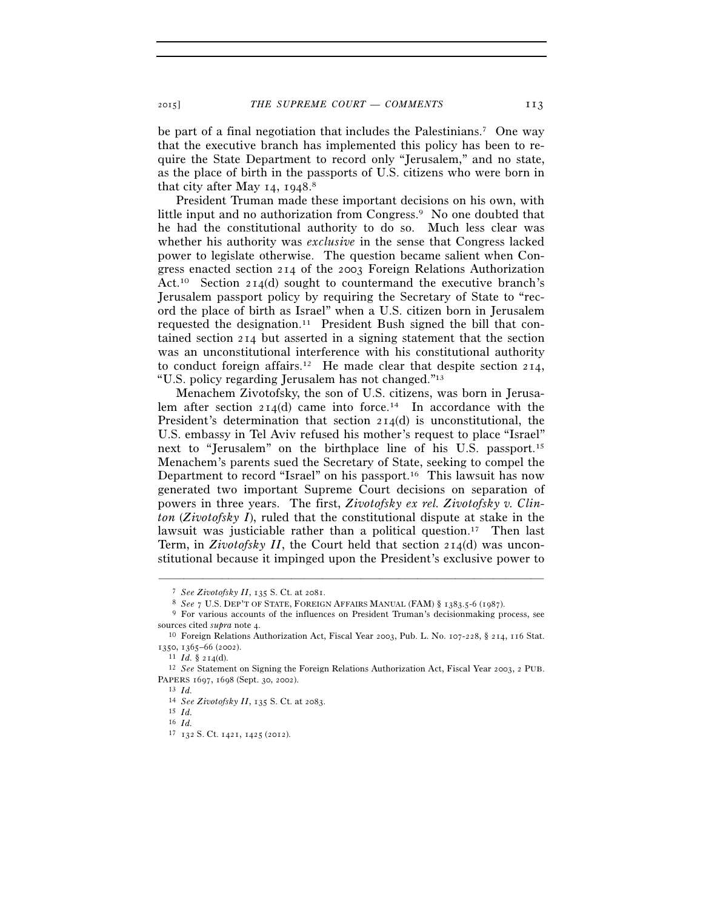be part of a final negotiation that includes the Palestinians.7 One way that the executive branch has implemented this policy has been to require the State Department to record only "Jerusalem," and no state, as the place of birth in the passports of U.S. citizens who were born in that city after May 14, 1948. 8

President Truman made these important decisions on his own, with little input and no authorization from Congress.<sup>9</sup> No one doubted that he had the constitutional authority to do so. Much less clear was whether his authority was *exclusive* in the sense that Congress lacked power to legislate otherwise. The question became salient when Congress enacted section 214 of the 2003 Foreign Relations Authorization Act.<sup>10</sup> Section 214(d) sought to countermand the executive branch's Jerusalem passport policy by requiring the Secretary of State to "record the place of birth as Israel" when a U.S. citizen born in Jerusalem requested the designation.<sup>11</sup> President Bush signed the bill that contained section 214 but asserted in a signing statement that the section was an unconstitutional interference with his constitutional authority to conduct foreign affairs.<sup>12</sup> He made clear that despite section 214, "U.S. policy regarding Jerusalem has not changed."13

Menachem Zivotofsky, the son of U.S. citizens, was born in Jerusalem after section  $2I_4(d)$  came into force.<sup>14</sup> In accordance with the President's determination that section 214(d) is unconstitutional, the U.S. embassy in Tel Aviv refused his mother's request to place "Israel" next to "Jerusalem" on the birthplace line of his U.S. passport.15 Menachem's parents sued the Secretary of State, seeking to compel the Department to record "Israel" on his passport.16 This lawsuit has now generated two important Supreme Court decisions on separation of powers in three years. The first, *Zivotofsky ex rel. Zivotofsky v. Clinton* (*Zivotofsky I*), ruled that the constitutional dispute at stake in the lawsuit was justiciable rather than a political question.<sup>17</sup> Then last Term, in *Zivotofsky II*, the Court held that section 214(d) was unconstitutional because it impinged upon the President's exclusive power to

<sup>&</sup>lt;sup>7</sup> See Zivotofsky II, 135 S. Ct. at 2081.<br><sup>8</sup> See 7 U.S. DEP'T OF STATE, FOREIGN AFFAIRS MANUAL (FAM) § 1383.5-6 (1987).<br><sup>9</sup> For various accounts of the influences on President Truman's decisionmaking process, see

sources cited *supra* note 4.<br><sup>10</sup> Foreign Relations Authorization Act, Fiscal Year 2003, Pub. L. No. 107-228, § 214, 116 Stat.

<sup>1350, 1365–66 (2002).&</sup>lt;br><sup>11</sup> *Id.* § 214(d).<br><sup>12</sup> See Statement on Signing the Foreign Relations Authorization Act, Fiscal Year 2003, 2 PUB.<br>PAPERS 1697, 1698 (Sept. 30, 2002).

<sup>13</sup> *Id.*<br><sup>14</sup> *See Zivotofsky II*, 135 S. Ct. at 2083.<br><sup>15</sup> *Id* 

<sup>16</sup> *Id.*

<sup>17</sup> 132 S. Ct. 1421, 1425 (2012).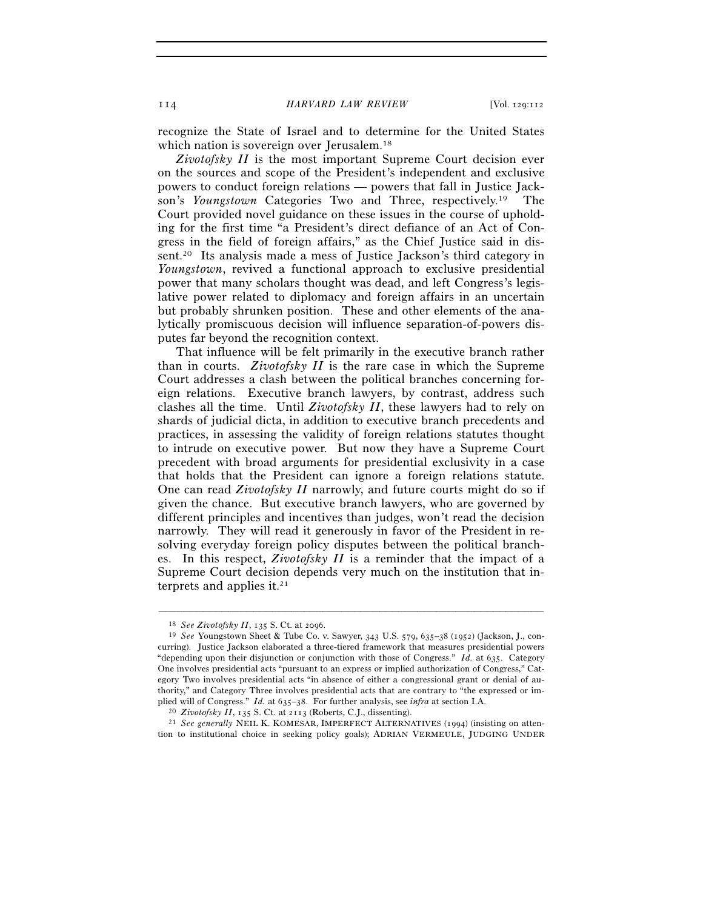recognize the State of Israel and to determine for the United States which nation is sovereign over Jerusalem.<sup>18</sup>

*Zivotofsky II* is the most important Supreme Court decision ever on the sources and scope of the President's independent and exclusive powers to conduct foreign relations — powers that fall in Justice Jackson's *Youngstown* Categories Two and Three, respectively.19 The Court provided novel guidance on these issues in the course of upholding for the first time "a President's direct defiance of an Act of Congress in the field of foreign affairs," as the Chief Justice said in dissent.20 Its analysis made a mess of Justice Jackson's third category in *Youngstown*, revived a functional approach to exclusive presidential power that many scholars thought was dead, and left Congress's legislative power related to diplomacy and foreign affairs in an uncertain but probably shrunken position. These and other elements of the analytically promiscuous decision will influence separation-of-powers disputes far beyond the recognition context.

That influence will be felt primarily in the executive branch rather than in courts. *Zivotofsky II* is the rare case in which the Supreme Court addresses a clash between the political branches concerning foreign relations. Executive branch lawyers, by contrast, address such clashes all the time. Until *Zivotofsky II*, these lawyers had to rely on shards of judicial dicta, in addition to executive branch precedents and practices, in assessing the validity of foreign relations statutes thought to intrude on executive power. But now they have a Supreme Court precedent with broad arguments for presidential exclusivity in a case that holds that the President can ignore a foreign relations statute. One can read *Zivotofsky II* narrowly, and future courts might do so if given the chance. But executive branch lawyers, who are governed by different principles and incentives than judges, won't read the decision narrowly. They will read it generously in favor of the President in resolving everyday foreign policy disputes between the political branches. In this respect, *Zivotofsky II* is a reminder that the impact of a Supreme Court decision depends very much on the institution that interprets and applies it.<sup>21</sup>

<sup>18</sup> *See Zivotofsky II*, 135 S. Ct. at 2096. 19 *See* Youngstown Sheet & Tube Co. v. Sawyer, 343 U.S. 579, 635–38 (1952) (Jackson, J., concurring). Justice Jackson elaborated a three-tiered framework that measures presidential powers "depending upon their disjunction or conjunction with those of Congress." *Id.* at 635. Category One involves presidential acts "pursuant to an express or implied authorization of Congress," Category Two involves presidential acts "in absence of either a congressional grant or denial of authority," and Category Three involves presidential acts that are contrary to "the expressed or implied will of Congress." *Id.* at 635–38. For further analysis, see *infra* at section I.A. <sup>20</sup> Zivotofsky II, 135 S. Ct. at 2113 (Roberts, C.J., dissenting).

<sup>&</sup>lt;sup>21</sup> See generally NEIL K. KOMESAR, IMPERFECT ALTERNATIVES (1994) (insisting on attention to institutional choice in seeking policy goals); ADRIAN VERMEULE, JUDGING UNDER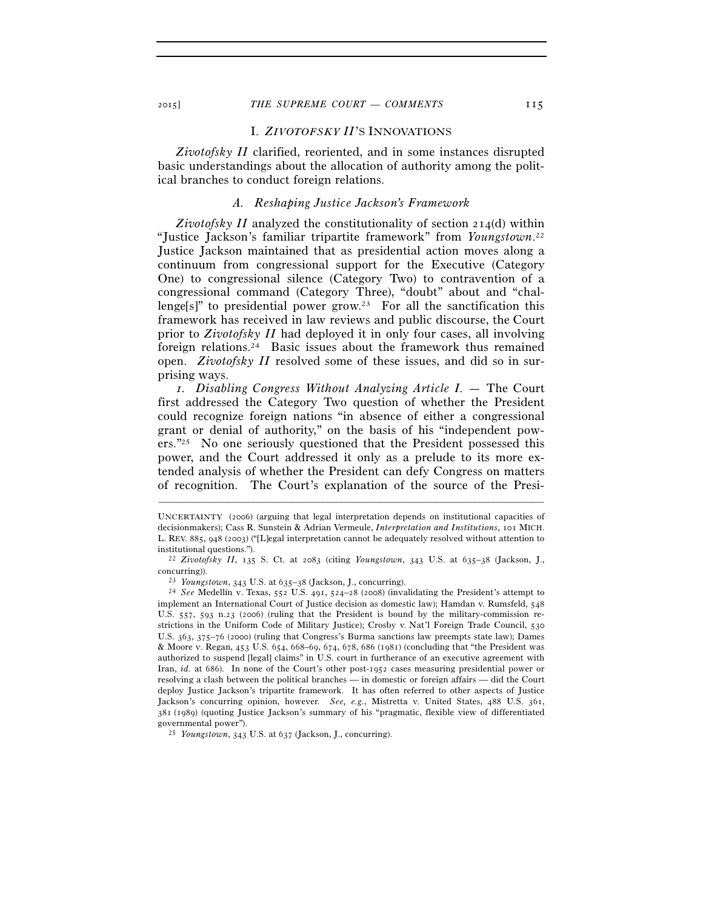### I. *ZIVOTOFSKY II*'S INNOVATIONS

*Zivotofsky II* clarified, reoriented, and in some instances disrupted basic understandings about the allocation of authority among the political branches to conduct foreign relations.

### *A. Reshaping Justice Jackson's Framework*

*Zivotofsky II* analyzed the constitutionality of section 214(d) within "Justice Jackson's familiar tripartite framework" from *Youngstown*. 22 Justice Jackson maintained that as presidential action moves along a continuum from congressional support for the Executive (Category One) to congressional silence (Category Two) to contravention of a congressional command (Category Three), "doubt" about and "challenge[s]" to presidential power grow.<sup>23</sup> For all the sanctification this framework has received in law reviews and public discourse, the Court prior to *Zivotofsky II* had deployed it in only four cases, all involving foreign relations.24 Basic issues about the framework thus remained open. *Zivotofsky II* resolved some of these issues, and did so in surprising ways.

 *1. Disabling Congress Without Analyzing Article I. —* The Court first addressed the Category Two question of whether the President could recognize foreign nations "in absence of either a congressional grant or denial of authority," on the basis of his "independent powers."25 No one seriously questioned that the President possessed this power, and the Court addressed it only as a prelude to its more extended analysis of whether the President can defy Congress on matters of recognition. The Court's explanation of the source of the Presi-

UNCERTAINTY (2006) (arguing that legal interpretation depends on institutional capacities of decisionmakers); Cass R. Sunstein & Adrian Vermeule, *Interpretation and Institutions*, 101 MICH. L. REV. 885, 948 (2003) ("[L]egal interpretation cannot be adequately resolved without attention to institutional questions."). 22 *Zivotofsky II*, 135 S. Ct. at 2083 (citing *Youngstown*, 343 U.S. at 635–38 (Jackson, J.,

concurring)). 23 *Youngstown*, 343 U.S. at 635–38 (Jackson, J., concurring). 24 *See* Medellín v. Texas, 552 U.S. 491, 524–28 (2008) (invalidating the President's attempt to implement an International Court of Justice decision as domestic law); Hamdan v. Rumsfeld, 548 U.S. 557, 593 n.23 (2006) (ruling that the President is bound by the military-commission restrictions in the Uniform Code of Military Justice); Crosby v. Nat'l Foreign Trade Council, 530 U.S. 363, 375–76 (2000) (ruling that Congress's Burma sanctions law preempts state law); Dames & Moore v. Regan, 453 U.S. 654, 668–69, 674, 678, 686 (1981) (concluding that "the President was authorized to suspend [legal] claims" in U.S. court in furtherance of an executive agreement with Iran, *id.* at 686). In none of the Court's other post-1952 cases measuring presidential power or resolving a clash between the political branches — in domestic or foreign affairs — did the Court deploy Justice Jackson's tripartite framework. It has often referred to other aspects of Justice Jackson's concurring opinion, however. *See, e.g.*, Mistretta v. United States, 488 U.S. 361, 381 (1989) (quoting Justice Jackson's summary of his "pragmatic, flexible view of differentiated governmental power"). 25 *Youngstown*, 343 U.S. at 637 (Jackson, J., concurring).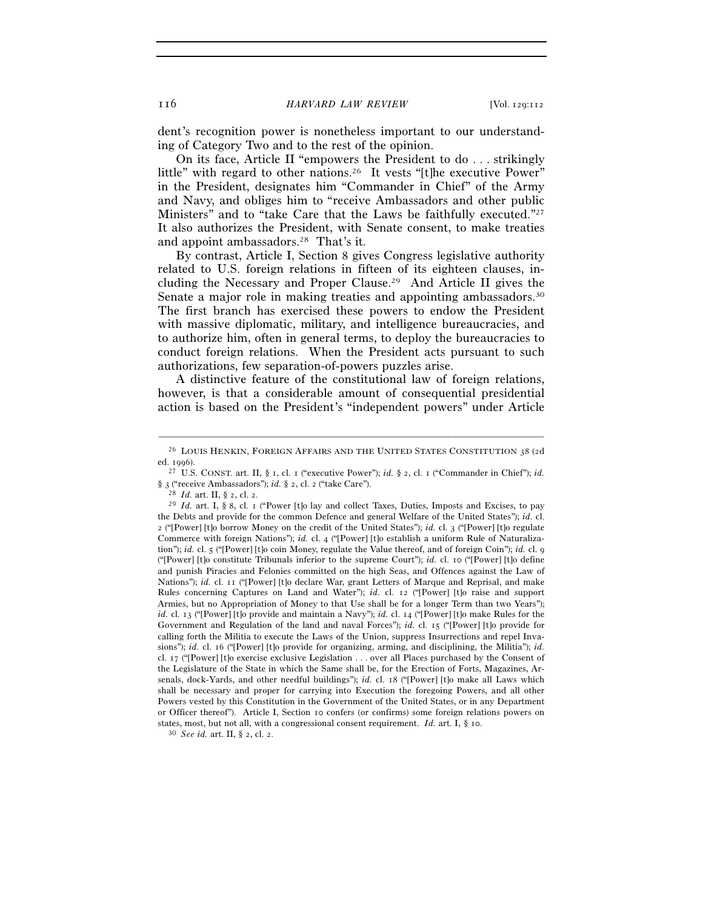dent's recognition power is nonetheless important to our understanding of Category Two and to the rest of the opinion.

On its face, Article II "empowers the President to do . . . strikingly little" with regard to other nations.<sup>26</sup> It vests "[t]he executive Power" in the President, designates him "Commander in Chief" of the Army and Navy, and obliges him to "receive Ambassadors and other public Ministers" and to "take Care that the Laws be faithfully executed."27 It also authorizes the President, with Senate consent, to make treaties and appoint ambassadors.28 That's it.

By contrast, Article I, Section 8 gives Congress legislative authority related to U.S. foreign relations in fifteen of its eighteen clauses, including the Necessary and Proper Clause.29 And Article II gives the Senate a major role in making treaties and appointing ambassadors.30 The first branch has exercised these powers to endow the President with massive diplomatic, military, and intelligence bureaucracies, and to authorize him, often in general terms, to deploy the bureaucracies to conduct foreign relations. When the President acts pursuant to such authorizations, few separation-of-powers puzzles arise.

A distinctive feature of the constitutional law of foreign relations, however, is that a considerable amount of consequential presidential action is based on the President's "independent powers" under Article

<sup>–––––––––––––––––––––––––––––––––––––––––––––––––––––––––––––</sup> <sup>26</sup> LOUIS HENKIN, FOREIGN AFFAIRS AND THE UNITED STATES CONSTITUTION 38 (2d)

ed. 1996). 27 U.S. CONST. art. II, § 1, cl. 1 ("executive Power"); *id.* § 2, cl. 1 ("Commander in Chief"); *id.*  § 3 ("receive Ambassadors"); *id.* § 2, cl. 2 ("take Care"). 28 *Id.* art. II, § 2, cl. 2. 29 *Id.* art. I, § 8, cl. 1 ("Power [t]o lay and collect Taxes, Duties, Imposts and Excises, to pay

the Debts and provide for the common Defence and general Welfare of the United States"); *id.* cl. 2 ("[Power] [t]o borrow Money on the credit of the United States"); *id.* cl. 3 ("[Power] [t]o regulate Commerce with foreign Nations"); *id.* cl. 4 ("[Power] [t]o establish a uniform Rule of Naturalization"); *id.* cl. 5 ("[Power] [t]o coin Money, regulate the Value thereof, and of foreign Coin"); *id.* cl. 9 ("[Power] [t]o constitute Tribunals inferior to the supreme Court"); *id.* cl. 10 ("[Power] [t]o define and punish Piracies and Felonies committed on the high Seas, and Offences against the Law of Nations"); *id.* cl. 11 ("[Power] [t]o declare War, grant Letters of Marque and Reprisal, and make Rules concerning Captures on Land and Water"); *id.* cl. 12 ("[Power] [t]o raise and support Armies, but no Appropriation of Money to that Use shall be for a longer Term than two Years"); *id.* cl. 13 ("[Power] [t]o provide and maintain a Navy"); *id.* cl. 14 ("[Power] [t]o make Rules for the Government and Regulation of the land and naval Forces"); *id.* cl. 15 ("[Power] [t]o provide for calling forth the Militia to execute the Laws of the Union, suppress Insurrections and repel Invasions"); *id.* cl. 16 ("[Power] [t]o provide for organizing, arming, and disciplining, the Militia"); *id.* cl. 17 ("[Power] [t]o exercise exclusive Legislation . . . over all Places purchased by the Consent of the Legislature of the State in which the Same shall be, for the Erection of Forts, Magazines, Arsenals, dock-Yards, and other needful buildings"); *id.* cl. 18 ("[Power] [t]o make all Laws which shall be necessary and proper for carrying into Execution the foregoing Powers, and all other Powers vested by this Constitution in the Government of the United States, or in any Department or Officer thereof"). Article I, Section 10 confers (or confirms) some foreign relations powers on states, most, but not all, with a congressional consent requirement. *Id.* art. I, § 10. <sup>30</sup> *See id.* art. II, § 2, cl. 2.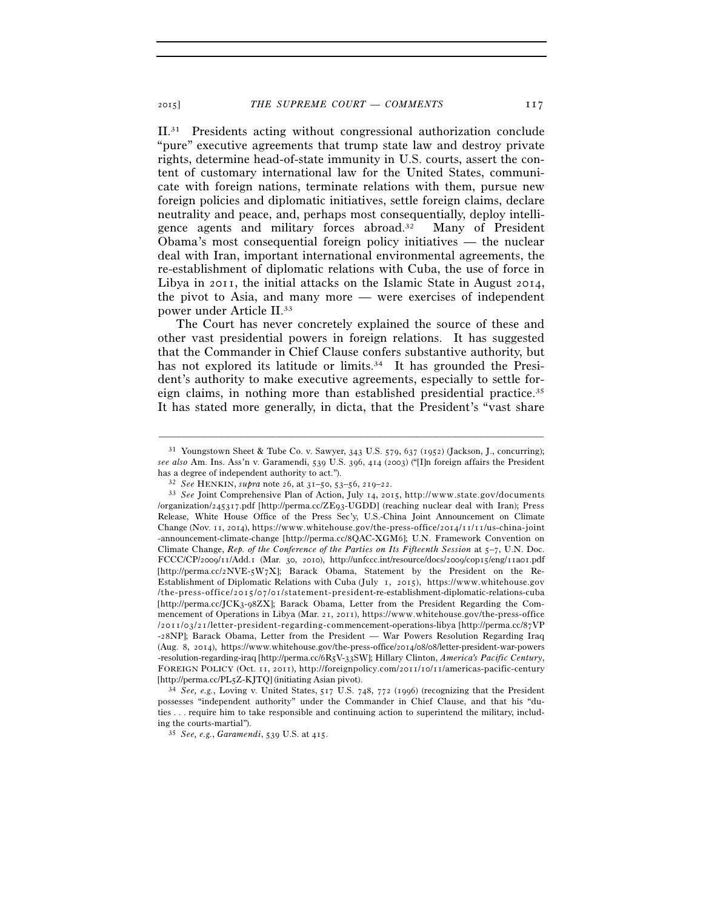II.31 Presidents acting without congressional authorization conclude "pure" executive agreements that trump state law and destroy private rights, determine head-of-state immunity in U.S. courts, assert the content of customary international law for the United States, communicate with foreign nations, terminate relations with them, pursue new foreign policies and diplomatic initiatives, settle foreign claims, declare neutrality and peace, and, perhaps most consequentially, deploy intelligence agents and military forces abroad.32 Many of President Obama's most consequential foreign policy initiatives — the nuclear deal with Iran, important international environmental agreements, the re-establishment of diplomatic relations with Cuba, the use of force in Libya in 2011, the initial attacks on the Islamic State in August 2014, the pivot to Asia, and many more — were exercises of independent power under Article II.33

The Court has never concretely explained the source of these and other vast presidential powers in foreign relations. It has suggested that the Commander in Chief Clause confers substantive authority, but has not explored its latitude or limits.<sup>34</sup> It has grounded the President's authority to make executive agreements, especially to settle foreign claims, in nothing more than established presidential practice.35 It has stated more generally, in dicta, that the President's "vast share

–––––––––––––––––––––––––––––––––––––––––––––––––––––––––––––

<sup>34</sup> See, e.g., Loving v. United States, 517 U.S. 748, 772 (1996) (recognizing that the President possesses "independent authority" under the Commander in Chief Clause, and that his "duties . . . require him to take responsible and continuing action to superintend the military, including the courts-martial"). 35 *See, e.g.*, *Garamendi*, 539 U.S. at 415.

<sup>&</sup>lt;sup>31</sup> Youngstown Sheet & Tube Co. v. Sawyer, 343 U.S. 579, 637 (1952) (Jackson, J., concurring); *see also* Am. Ins. Ass'n v. Garamendi, 539 U.S. 396, 414 (2003) ("[I]n foreign affairs the President has a degree of independent authority to act.").<br>
<sup>32</sup> See HENKIN, *supra* note 26, at 31–50, 53–56, 219–22.<br>
<sup>33</sup> See Joint Comprehensive Plan of Action, July 14, 2015, http://www.state.gov/documents

<sup>/</sup>organization/245317.pdf [http://perma.cc/ZE93-UGDD] (reaching nuclear deal with Iran); Press Release, White House Office of the Press Sec'y, U.S.-China Joint Announcement on Climate Change (Nov. 11, 2014), https://www.whitehouse.gov/the-press-office/2014/11/11/us-china-joint -announcement-climate-change [http://perma.cc/8QAC-XGM6]; U.N. Framework Convention on Climate Change, *Rep. of the Conference of the Parties on Its Fifteenth Session* at 5–7, U.N. Doc. FCCC/CP/2009/11/Add.1 (Mar. 30, 2010), http://unfccc.int/resource/docs/2009/cop15/eng/11a01.pdf [http://perma.cc/2NVE-5W7X]; Barack Obama, Statement by the President on the Re-Establishment of Diplomatic Relations with Cuba (July 1, 2015), https://www.whitehouse.gov /the-press-office/2015/07/01/statement-president-re-establishment-diplomatic-relations-cuba [http://perma.cc/JCK3-98ZX]; Barack Obama, Letter from the President Regarding the Commencement of Operations in Libya (Mar. 21, 2011), https://www.whitehouse.gov/the-press-office / 2 0 1 1 / 0 3 / 2 1 / l e t t e r - p r e s i d e n t - r e g a r d i n g - c o m mencement-operations-libya [http://perma.cc/87VP -28NP]; Barack Obama, Letter from the President — War Powers Resolution Regarding Iraq (Aug. 8, 2014), https://www.whitehouse.gov/the-press-office/2014/08/08/letter-president-war-powers -resolution-regarding-iraq [http://perma.cc/6R5V-33SW]; Hillary Clinton, *America's Pacific Century*, FOREIGN POLICY (Oct. 11, 2011), http://foreignpolicy.com/2011/10/11/americas-pacific-century [http://perma.cc/PL5Z-KJTQ] (initiating Asian pivot).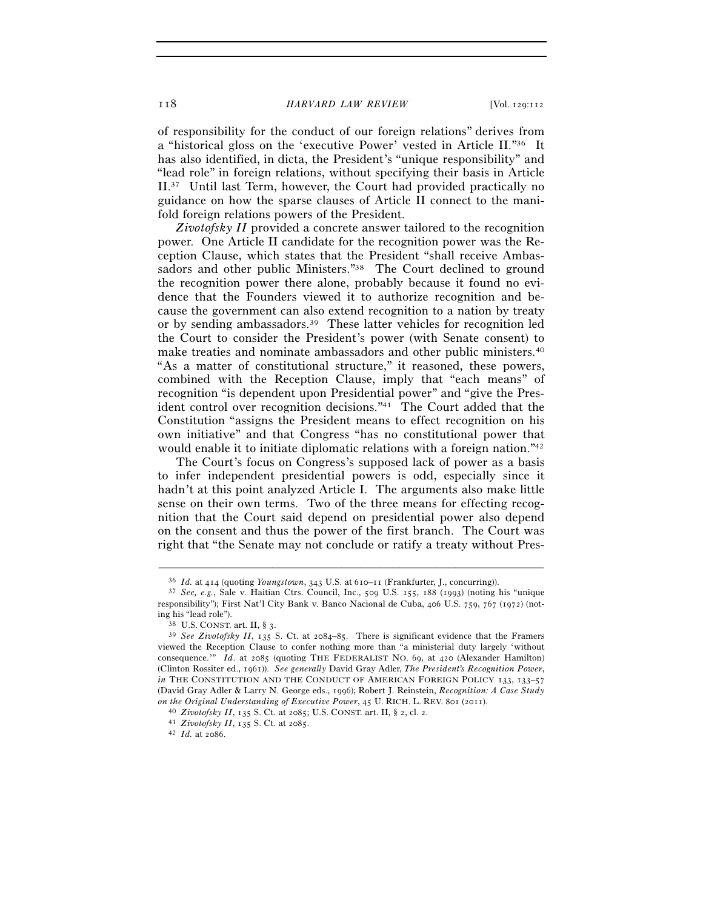of responsibility for the conduct of our foreign relations" derives from a "historical gloss on the 'executive Power' vested in Article II."36 It has also identified, in dicta, the President's "unique responsibility" and "lead role" in foreign relations, without specifying their basis in Article II.37 Until last Term, however, the Court had provided practically no guidance on how the sparse clauses of Article II connect to the manifold foreign relations powers of the President.

*Zivotofsky II* provided a concrete answer tailored to the recognition power. One Article II candidate for the recognition power was the Reception Clause, which states that the President "shall receive Ambassadors and other public Ministers."<sup>38</sup> The Court declined to ground the recognition power there alone, probably because it found no evidence that the Founders viewed it to authorize recognition and because the government can also extend recognition to a nation by treaty or by sending ambassadors.39 These latter vehicles for recognition led the Court to consider the President's power (with Senate consent) to make treaties and nominate ambassadors and other public ministers.40 "As a matter of constitutional structure," it reasoned, these powers, combined with the Reception Clause, imply that "each means" of recognition "is dependent upon Presidential power" and "give the President control over recognition decisions."41 The Court added that the Constitution "assigns the President means to effect recognition on his own initiative" and that Congress "has no constitutional power that would enable it to initiate diplomatic relations with a foreign nation."42

The Court's focus on Congress's supposed lack of power as a basis to infer independent presidential powers is odd, especially since it hadn't at this point analyzed Article I. The arguments also make little sense on their own terms. Two of the three means for effecting recognition that the Court said depend on presidential power also depend on the consent and thus the power of the first branch. The Court was right that "the Senate may not conclude or ratify a treaty without Pres-

<sup>36</sup> *Id.* at 414 (quoting *Youngstown*, 343 U.S. at 610–11 (Frankfurter, J., concurring)). 37 *See, e.g.*, Sale v. Haitian Ctrs. Council, Inc., 509 U.S. 155, 188 (1993) (noting his "unique responsibility"); First Nat'l City Bank v. Banco Nacional de Cuba, 406 U.S. 759, 767 (1972) (noting his "lead role").

<sup>&</sup>lt;sup>39</sup> See Zivotofsky II, 135 S. Ct. at 2084–85. There is significant evidence that the Framers viewed the Reception Clause to confer nothing more than "a ministerial duty largely 'without consequence.'" *Id*. at 2085 (quoting THE FEDERALIST NO. 69, at 420 (Alexander Hamilton) (Clinton Rossiter ed., 1961)). *See generally* David Gray Adler, *The President's Recognition Power*, *in* THE CONSTITUTION AND THE CONDUCT OF AMERICAN FOREIGN POLICY 133, 133-57 (David Gray Adler & Larry N. George eds., 1996); Robert J. Reinstein, *Recognition: A Case Study*  on the Original Understanding of Executive Power, 45 U. RICH. L. REV. 801 (2011).<br><sup>40</sup> Zivotofsky II, 135 S. Ct. at 2085; U.S. CONST. art. II, § 2, cl. 2.<br><sup>41</sup> Zivotofsky II, 135 S. Ct. at 2085.<br><sup>42</sup> Id. at 2086.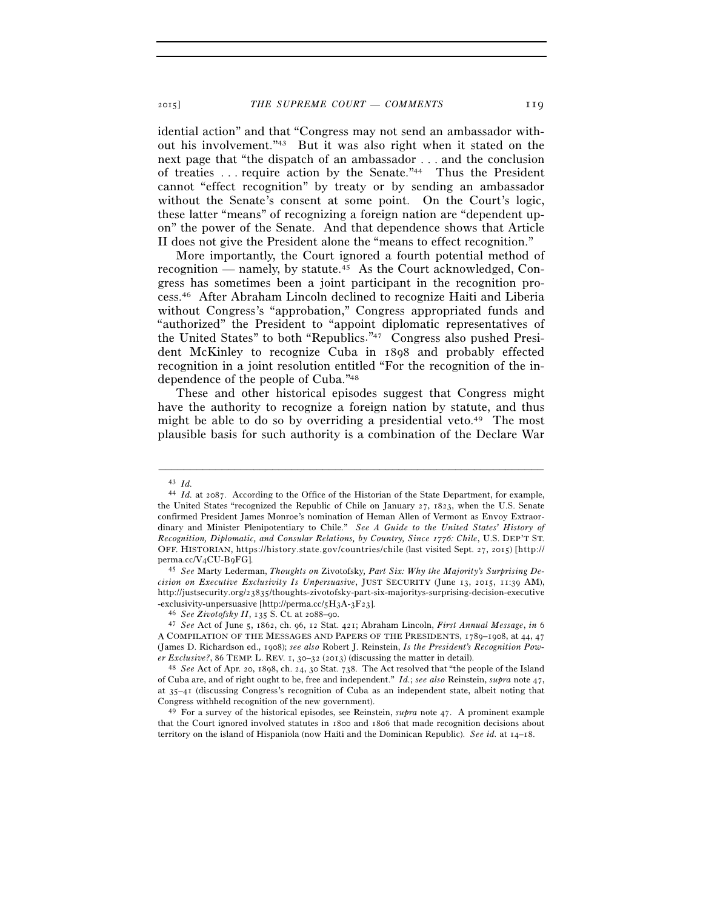idential action" and that "Congress may not send an ambassador without his involvement."43 But it was also right when it stated on the next page that "the dispatch of an ambassador . . . and the conclusion of treaties . . . require action by the Senate."44 Thus the President cannot "effect recognition" by treaty or by sending an ambassador without the Senate's consent at some point. On the Court's logic, these latter "means" of recognizing a foreign nation are "dependent upon" the power of the Senate. And that dependence shows that Article II does not give the President alone the "means to effect recognition."

More importantly, the Court ignored a fourth potential method of recognition — namely, by statute.<sup>45</sup> As the Court acknowledged, Congress has sometimes been a joint participant in the recognition process.46 After Abraham Lincoln declined to recognize Haiti and Liberia without Congress's "approbation," Congress appropriated funds and "authorized" the President to "appoint diplomatic representatives of the United States" to both "Republics."47 Congress also pushed President McKinley to recognize Cuba in 1898 and probably effected recognition in a joint resolution entitled "For the recognition of the independence of the people of Cuba."48

These and other historical episodes suggest that Congress might have the authority to recognize a foreign nation by statute, and thus might be able to do so by overriding a presidential veto.<sup>49</sup> The most plausible basis for such authority is a combination of the Declare War

<sup>43</sup> *Id.*

<sup>44</sup> *Id.* at 2087. According to the Office of the Historian of the State Department, for example, the United States "recognized the Republic of Chile on January 27, 1823, when the U.S. Senate confirmed President James Monroe's nomination of Heman Allen of Vermont as Envoy Extraordinary and Minister Plenipotentiary to Chile." *See A Guide to the United States' History of Recognition, Diplomatic, and Consular Relations, by Country, Since 1776: Chile*, U.S. DEP'T ST. OFF. HISTORIAN, https://history.state.gov/countries/chile (last visited Sept. 27, 2015) [http:// perma.cc/V4CU-B9FG]. 45 *See* Marty Lederman, *Thoughts on* Zivotofsky*, Part Six: Why the Majority's Surprising De-*

*cision on Executive Exclusivity Is Unpersuasive*, JUST SECURITY (June 13, 2015, 11:39 AM), http://justsecurity.org/23835/thoughts-zivotofsky-part-six-majoritys-surprising-decision-executive

<sup>%-</sup>exclusivity-unpersuasive [http://perma.cc/5H3A-3F23].<br>
<sup>46</sup> See Zivotofsky II, 135 S. Ct. at 2088–90.<br>
<sup>47</sup> See Act of June 5, 1862, ch. 96, 12 Stat. 421; Abraham Lincoln, *First Annual Message*, in 6 A COMPILATION OF THE MESSAGES AND PAPERS OF THE PRESIDENTS, 1789–1908, at 44, 47 (James D. Richardson ed., 1908); *see also* Robert J. Reinstein, *Is the President's Recognition Power Exclusive?*, <sup>86</sup> TEMP. L. REV. 1, 30–32 (2013) (discussing the matter in detail). 48 *See* Act of Apr. 20, 1898, ch. 24, 30 Stat. 738. The Act resolved that "the people of the Island

of Cuba are, and of right ought to be, free and independent." *Id.*; *see also* Reinstein, *supra* note 47, at 35–41 (discussing Congress's recognition of Cuba as an independent state, albeit noting that Congress withheld recognition of the new government). 49 For a survey of the historical episodes, see Reinstein, *supra* note 47. A prominent example

that the Court ignored involved statutes in 1800 and 1806 that made recognition decisions about territory on the island of Hispaniola (now Haiti and the Dominican Republic). *See id.* at 14–18.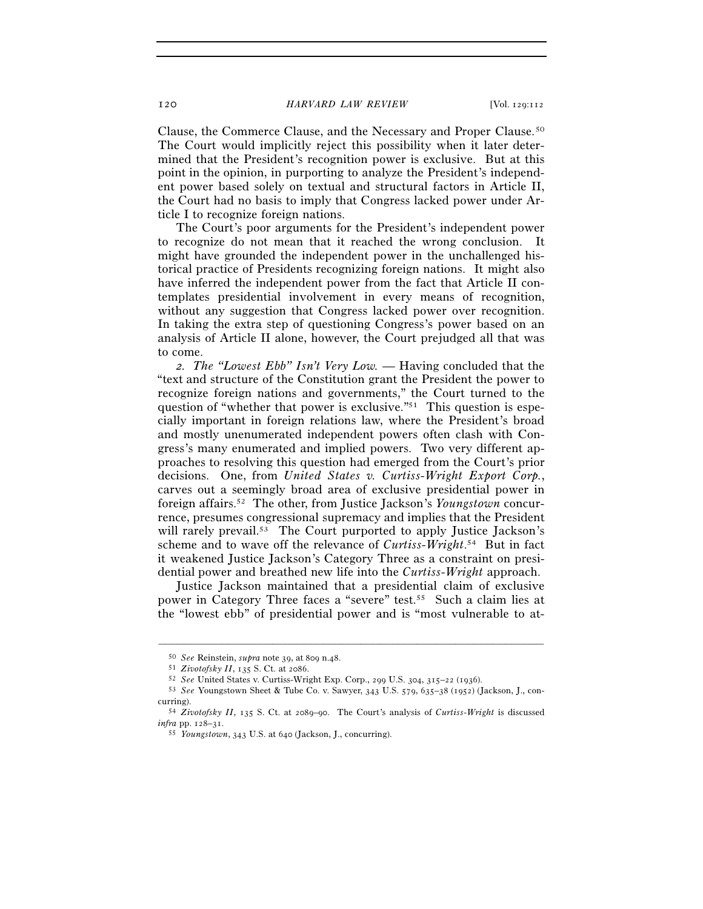Clause, the Commerce Clause, and the Necessary and Proper Clause.50 The Court would implicitly reject this possibility when it later determined that the President's recognition power is exclusive. But at this point in the opinion, in purporting to analyze the President's independent power based solely on textual and structural factors in Article II, the Court had no basis to imply that Congress lacked power under Article I to recognize foreign nations.

The Court's poor arguments for the President's independent power to recognize do not mean that it reached the wrong conclusion. It might have grounded the independent power in the unchallenged historical practice of Presidents recognizing foreign nations. It might also have inferred the independent power from the fact that Article II contemplates presidential involvement in every means of recognition, without any suggestion that Congress lacked power over recognition. In taking the extra step of questioning Congress's power based on an analysis of Article II alone, however, the Court prejudged all that was to come.

*2. The "Lowest Ebb" Isn't Very Low.* — Having concluded that the "text and structure of the Constitution grant the President the power to recognize foreign nations and governments," the Court turned to the question of "whether that power is exclusive."51 This question is especially important in foreign relations law, where the President's broad and mostly unenumerated independent powers often clash with Congress's many enumerated and implied powers. Two very different approaches to resolving this question had emerged from the Court's prior decisions. One, from *United States v. Curtiss-Wright Export Corp.*, carves out a seemingly broad area of exclusive presidential power in foreign affairs.52 The other, from Justice Jackson's *Youngstown* concurrence, presumes congressional supremacy and implies that the President will rarely prevail.<sup>53</sup> The Court purported to apply Justice Jackson's scheme and to wave off the relevance of *Curtiss-Wright*. 54 But in fact it weakened Justice Jackson's Category Three as a constraint on presidential power and breathed new life into the *Curtiss-Wright* approach.

Justice Jackson maintained that a presidential claim of exclusive power in Category Three faces a "severe" test.55 Such a claim lies at the "lowest ebb" of presidential power and is "most vulnerable to at-

<sup>% 50</sup> See Reinstein, *supra* note 39, at 809 n.48.<br>
51 Zivotofsky II, 135 S. Ct. at 2086.<br>
52 See United States v. Curtiss-Wright Exp. Corp., 299 U.S. 304, 315–22 (1936).<br>
53 See Youngstown Sheet & Tube Co. v. Sawyer, 343 curring). 54 *Zivotofsky II*, 135 S. Ct. at 2089–90. The Court's analysis of *Curtiss-Wright* is discussed

*infra* pp. 128–31. 55 *Youngstown*, 343 U.S. at 640 (Jackson, J., concurring).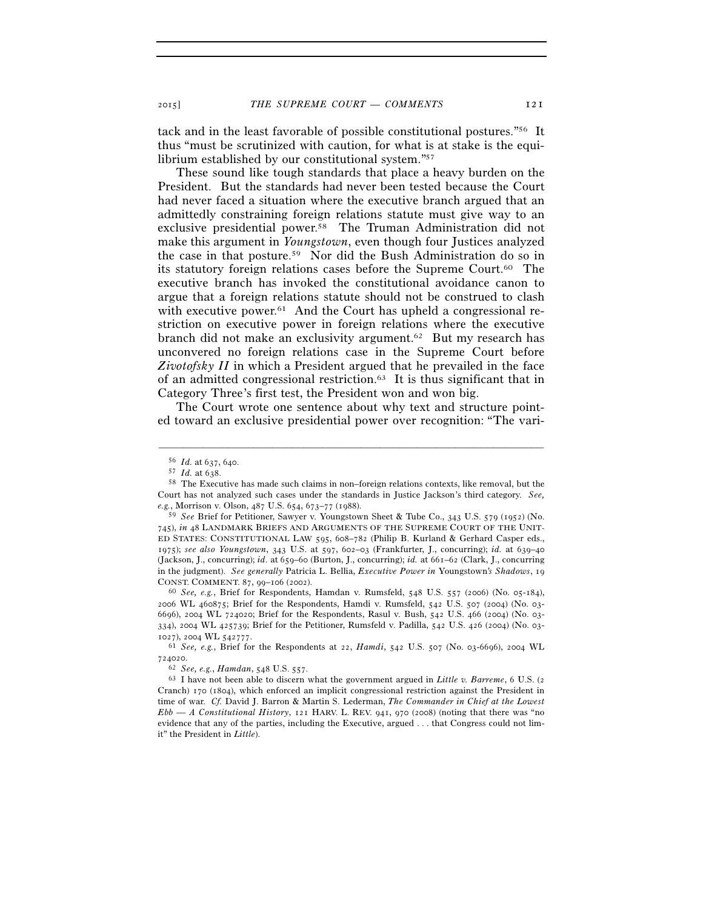tack and in the least favorable of possible constitutional postures."56 It thus "must be scrutinized with caution, for what is at stake is the equilibrium established by our constitutional system."57

These sound like tough standards that place a heavy burden on the President. But the standards had never been tested because the Court had never faced a situation where the executive branch argued that an admittedly constraining foreign relations statute must give way to an exclusive presidential power.58 The Truman Administration did not make this argument in *Youngstown*, even though four Justices analyzed the case in that posture.59 Nor did the Bush Administration do so in its statutory foreign relations cases before the Supreme Court.60 The executive branch has invoked the constitutional avoidance canon to argue that a foreign relations statute should not be construed to clash with executive power.<sup>61</sup> And the Court has upheld a congressional restriction on executive power in foreign relations where the executive branch did not make an exclusivity argument.62 But my research has unconvered no foreign relations case in the Supreme Court before *Zivotofsky II* in which a President argued that he prevailed in the face of an admitted congressional restriction.63 It is thus significant that in Category Three's first test, the President won and won big.

The Court wrote one sentence about why text and structure pointed toward an exclusive presidential power over recognition: "The vari-

–––––––––––––––––––––––––––––––––––––––––––––––––––––––––––––

Cranch) 170 (1804), which enforced an implicit congressional restriction against the President in time of war. *Cf.* David J. Barron & Martin S. Lederman, *The Commander in Chief at the Lowest Ebb — A Constitutional History*, 121 HARV. L. REV. 941, 970 (2008) (noting that there was "no evidence that any of the parties, including the Executive, argued . . . that Congress could not limit" the President in *Little*).

<sup>56</sup> *Id.* at 637, 640. 57 *Id.* at 638. 58 The Executive has made such claims in non–foreign relations contexts, like removal, but the Court has not analyzed such cases under the standards in Justice Jackson's third category. *See, e.g.*, Morrison v. Olson, 487 U.S. 654, 673–77 (1988).

<sup>59</sup> *See* Brief for Petitioner, Sawyer v. Youngstown Sheet & Tube Co., 343 U.S. 579 (1952) (No. 745), *in* 48 LANDMARK BRIEFS AND ARGUMENTS OF THE SUPREME COURT OF THE UNIT-ED STATES: CONSTITUTIONAL LAW 595, 608–782 (Philip B. Kurland & Gerhard Casper eds., 1975); *see also Youngstown*, 343 U.S. at 597, 602–03 (Frankfurter, J., concurring); *id.* at 639–40 (Jackson, J., concurring); *id*. at 659–60 (Burton, J., concurring); *id.* at 661–62 (Clark, J., concurring in the judgment). *See generally* Patricia L. Bellia, *Executive Power in* Youngstown*'s Shadows*, 19

<sup>&</sup>lt;sup>60</sup> See, e.g., Brief for Respondents, Hamdan v. Rumsfeld, 548 U.S. 557 (2006) (No. 05-184), 2006 WL 460875; Brief for the Respondents, Hamdi v. Rumsfeld, 542 U.S. 507 (2004) (No. 03- 6696), 2004 WL 724020; Brief for the Respondents, Rasul v. Bush, 542 U.S. 466 (2004) (No. 03- 334), 2004 WL 425739; Brief for the Petitioner, Rumsfeld v. Padilla, 542 U.S. 426 (2004) (No. 03- <sup>1027</sup>), 2004 WL 542777. 61 *See, e.g.*, Brief for the Respondents at 22, *Hamdi*, 542 U.S. 507 (No. 03-6696), 2004 WL

<sup>724020</sup>. 62 *See, e.g.*, *Hamdan*, 548 U.S. 557. 63 I have not been able to discern what the government argued in *Little v. Barreme*, 6 U.S. (<sup>2</sup>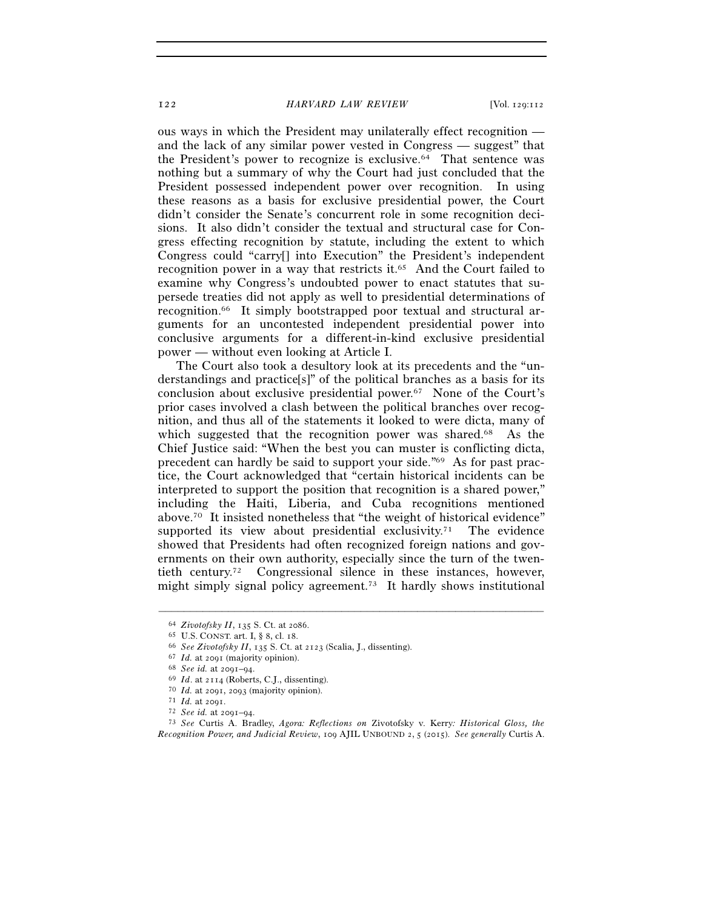ous ways in which the President may unilaterally effect recognition and the lack of any similar power vested in Congress — suggest" that the President's power to recognize is exclusive.64 That sentence was nothing but a summary of why the Court had just concluded that the President possessed independent power over recognition. In using these reasons as a basis for exclusive presidential power, the Court didn't consider the Senate's concurrent role in some recognition decisions. It also didn't consider the textual and structural case for Congress effecting recognition by statute, including the extent to which Congress could "carry[] into Execution" the President's independent recognition power in a way that restricts it.65 And the Court failed to examine why Congress's undoubted power to enact statutes that supersede treaties did not apply as well to presidential determinations of recognition.66 It simply bootstrapped poor textual and structural arguments for an uncontested independent presidential power into conclusive arguments for a different-in-kind exclusive presidential power — without even looking at Article I.

The Court also took a desultory look at its precedents and the "understandings and practice[s]" of the political branches as a basis for its conclusion about exclusive presidential power.67 None of the Court's prior cases involved a clash between the political branches over recognition, and thus all of the statements it looked to were dicta, many of which suggested that the recognition power was shared.<sup>68</sup> As the Chief Justice said: "When the best you can muster is conflicting dicta, precedent can hardly be said to support your side."69 As for past practice, the Court acknowledged that "certain historical incidents can be interpreted to support the position that recognition is a shared power," including the Haiti, Liberia, and Cuba recognitions mentioned above.70 It insisted nonetheless that "the weight of historical evidence" supported its view about presidential exclusivity.<sup>71</sup> The evidence showed that Presidents had often recognized foreign nations and governments on their own authority, especially since the turn of the twentieth century.72 Congressional silence in these instances, however, might simply signal policy agreement.73 It hardly shows institutional

<sup>&</sup>lt;sup>64</sup> Zivotofsky II, 135 S. Ct. at 2086.<br>
<sup>65</sup> U.S. CONST. art. I, § 8, cl. 18.<br>
<sup>66</sup> See Zivotofsky II, 135 S. Ct. at 2123 (Scalia, J., dissenting).<br>
<sup>67</sup> Id. at 2091 (majority opinion).<br>
<sup>69</sup> Id. at 201-94.<br>
<sup>69</sup> Id. at *Recognition Power, and Judicial Review*, 109 AJIL UNBOUND 2, 5 (2015). *See generally* Curtis A.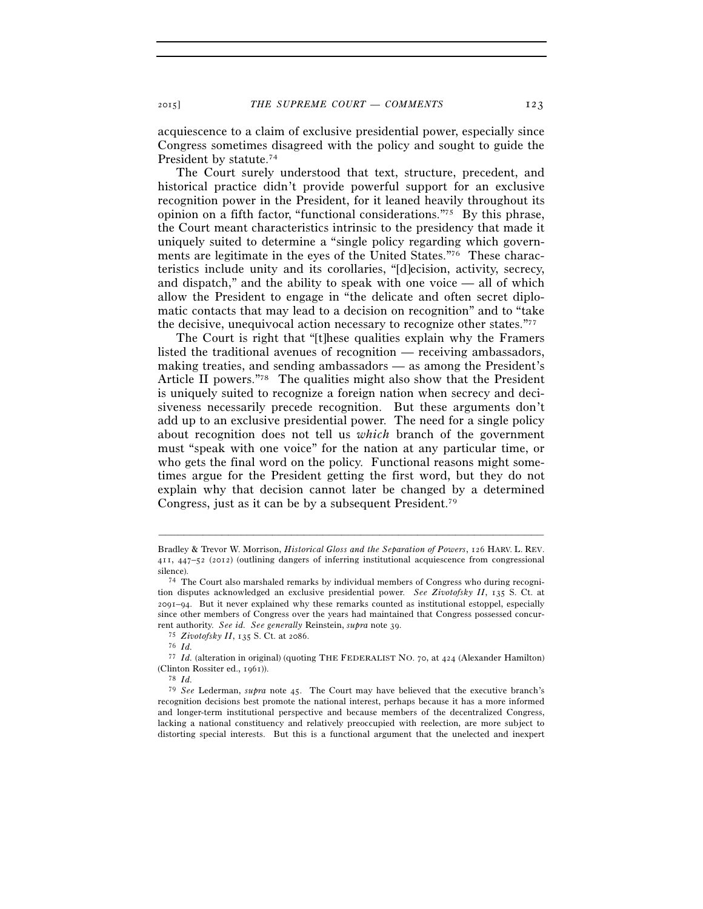acquiescence to a claim of exclusive presidential power, especially since Congress sometimes disagreed with the policy and sought to guide the President by statute.<sup>74</sup>

The Court surely understood that text, structure, precedent, and historical practice didn't provide powerful support for an exclusive recognition power in the President, for it leaned heavily throughout its opinion on a fifth factor, "functional considerations."75 By this phrase, the Court meant characteristics intrinsic to the presidency that made it uniquely suited to determine a "single policy regarding which governments are legitimate in the eyes of the United States."76 These characteristics include unity and its corollaries, "[d]ecision, activity, secrecy, and dispatch," and the ability to speak with one voice — all of which allow the President to engage in "the delicate and often secret diplomatic contacts that may lead to a decision on recognition" and to "take the decisive, unequivocal action necessary to recognize other states."77

The Court is right that "[t]hese qualities explain why the Framers listed the traditional avenues of recognition — receiving ambassadors, making treaties, and sending ambassadors — as among the President's Article II powers."78 The qualities might also show that the President is uniquely suited to recognize a foreign nation when secrecy and decisiveness necessarily precede recognition. But these arguments don't add up to an exclusive presidential power. The need for a single policy about recognition does not tell us *which* branch of the government must "speak with one voice" for the nation at any particular time, or who gets the final word on the policy. Functional reasons might sometimes argue for the President getting the first word, but they do not explain why that decision cannot later be changed by a determined Congress, just as it can be by a subsequent President.79

Bradley & Trevor W. Morrison, *Historical Gloss and the Separation of Powers*, 126 HARV. L. REV. 411, 447–52 (2012) (outlining dangers of inferring institutional acquiescence from congressional

silence).<br><sup>74</sup> The Court also marshaled remarks by individual members of Congress who during recognition disputes acknowledged an exclusive presidential power. *See Zivotofsky II*, 135 S. Ct. at 2091–94. But it never explained why these remarks counted as institutional estoppel, especially since other members of Congress over the years had maintained that Congress possessed concurrent authority. *See id. See generally* Reinstein, *supra* note 39. 75 *Zivotofsky II*, 135 S. Ct. at 2086. 76 *Id.*

<sup>77</sup> *Id.* (alteration in original) (quoting THE FEDERALIST NO. 70, at 424 (Alexander Hamilton) (Clinton Rossiter ed., 1961)). 78 *Id.*

<sup>79</sup> *See* Lederman, *supra* note 45. The Court may have believed that the executive branch's recognition decisions best promote the national interest, perhaps because it has a more informed and longer-term institutional perspective and because members of the decentralized Congress, lacking a national constituency and relatively preoccupied with reelection, are more subject to distorting special interests. But this is a functional argument that the unelected and inexpert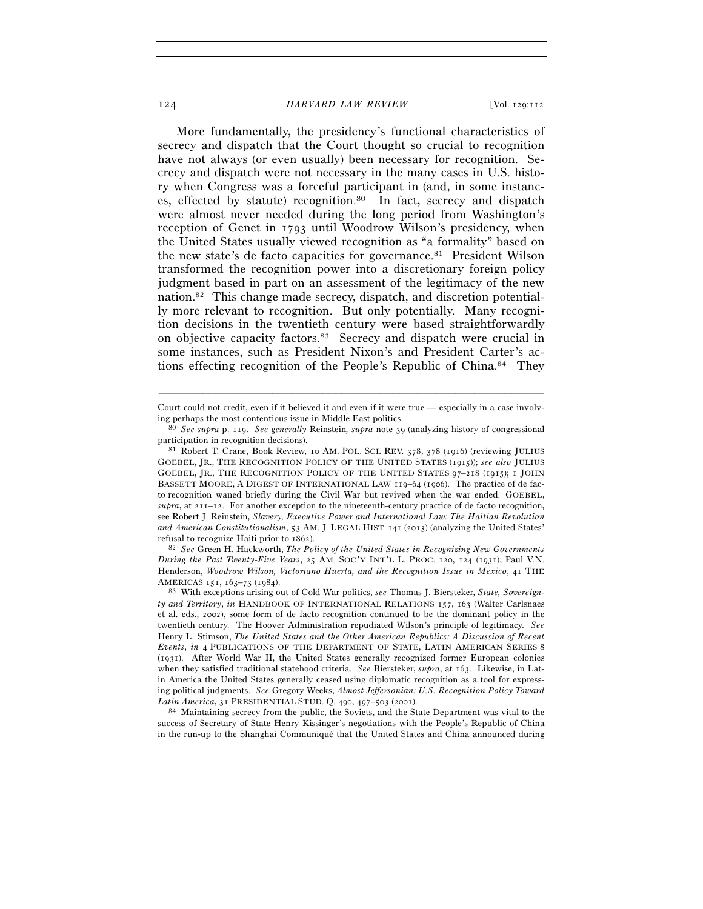More fundamentally, the presidency's functional characteristics of secrecy and dispatch that the Court thought so crucial to recognition have not always (or even usually) been necessary for recognition. Secrecy and dispatch were not necessary in the many cases in U.S. history when Congress was a forceful participant in (and, in some instances, effected by statute) recognition.<sup>80</sup> In fact, secrecy and dispatch were almost never needed during the long period from Washington's reception of Genet in 1793 until Woodrow Wilson's presidency, when the United States usually viewed recognition as "a formality" based on the new state's de facto capacities for governance.81 President Wilson transformed the recognition power into a discretionary foreign policy judgment based in part on an assessment of the legitimacy of the new nation.82 This change made secrecy, dispatch, and discretion potentially more relevant to recognition. But only potentially. Many recognition decisions in the twentieth century were based straightforwardly on objective capacity factors.83 Secrecy and dispatch were crucial in some instances, such as President Nixon's and President Carter's actions effecting recognition of the People's Republic of China.84 They

*During the Past Twenty-Five Years*, 25 AM. SOC'Y INT'L L. PROC. 120, 124 (1931); Paul V.N. Henderson, *Woodrow Wilson, Victoriano Huerta, and the Recognition Issue in Mexico*, 41 THE AMERICAS <sup>151</sup>, 163–73 (1984). 83 With exceptions arising out of Cold War politics, *see* Thomas J. Biersteker, *State, Sovereign-*

success of Secretary of State Henry Kissinger's negotiations with the People's Republic of China in the run-up to the Shanghai Communiqué that the United States and China announced during

<sup>–––––––––––––––––––––––––––––––––––––––––––––––––––––––––––––</sup> Court could not credit, even if it believed it and even if it were true — especially in a case involving perhaps the most contentious issue in Middle East politics. 80 *See supra* p. 119. *See generally* Reinstein*, supra* note 39 (analyzing history of congressional

participation in recognition decisions).

<sup>81</sup> Robert T. Crane, Book Review, 10 AM. POL. SCI. REV. 378, 378 (1916) (reviewing JULIUS GOEBEL, JR., THE RECOGNITION POLICY OF THE UNITED STATES (1915)); *see also* JULIUS GOEBEL, JR., THE RECOGNITION POLICY OF THE UNITED STATES 97–218 (1915); 1 JOHN BASSETT MOORE, A DIGEST OF INTERNATIONAL LAW 119–64 (1906). The practice of de facto recognition waned briefly during the Civil War but revived when the war ended. GOEBEL, *supra*, at 211–12. For another exception to the nineteenth-century practice of de facto recognition, see Robert J. Reinstein, *Slavery, Executive Power and International Law: The Haitian Revolution and American Constitutionalism*, 53 AM. J. LEGAL HIST. 141 (2013) (analyzing the United States' refusal to recognize Haiti prior to 1862). 82 *See* Green H. Hackworth, *The Policy of the United States in Recognizing New Governments* 

*ty and Territory*, *in* HANDBOOK OF INTERNATIONAL RELATIONS 157, 163 (Walter Carlsnaes et al. eds., 2002), some form of de facto recognition continued to be the dominant policy in the twentieth century. The Hoover Administration repudiated Wilson's principle of legitimacy. *See* Henry L. Stimson, *The United States and the Other American Republics: A Discussion of Recent Events*, *in* 4 PUBLICATIONS OF THE DEPARTMENT OF STATE, LATIN AMERICAN SERIES 8 (1931). After World War II, the United States generally recognized former European colonies when they satisfied traditional statehood criteria. *See* Biersteker, *supra*, at 163. Likewise, in Latin America the United States generally ceased using diplomatic recognition as a tool for expressing political judgments. *See* Gregory Weeks, *Almost Jeffersonian: U.S. Recognition Policy Toward Latin America*, 31 PRESIDENTIAL STUD. Q. 490, 497–503 (2001). 84 Maintaining secrecy from the public, the Soviets, and the State Department was vital to the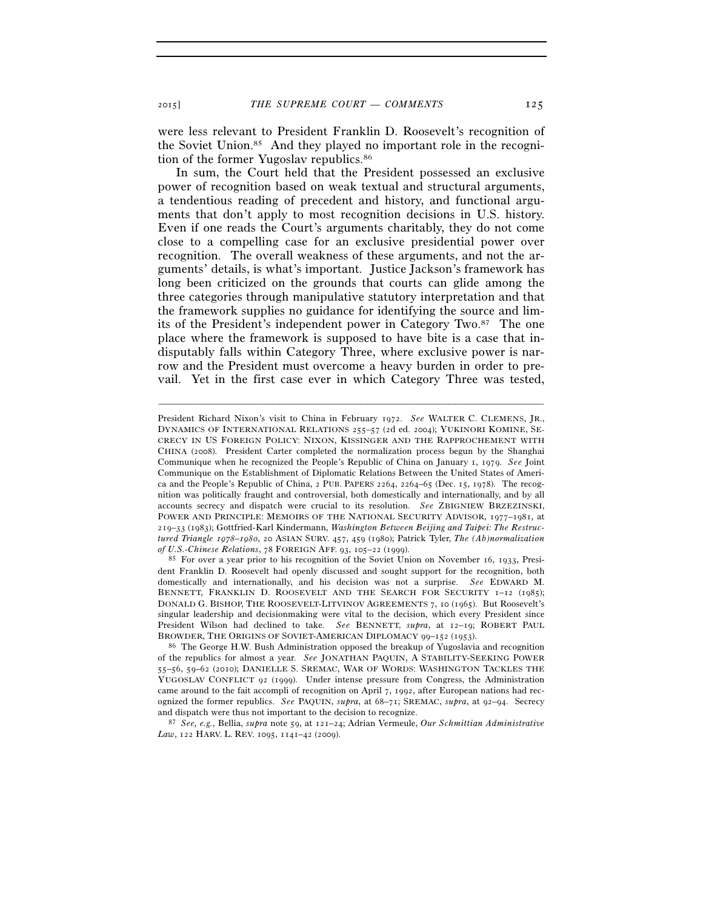were less relevant to President Franklin D. Roosevelt's recognition of the Soviet Union.85 And they played no important role in the recognition of the former Yugoslav republics.86

In sum, the Court held that the President possessed an exclusive power of recognition based on weak textual and structural arguments, a tendentious reading of precedent and history, and functional arguments that don't apply to most recognition decisions in U.S. history. Even if one reads the Court's arguments charitably, they do not come close to a compelling case for an exclusive presidential power over recognition. The overall weakness of these arguments, and not the arguments' details, is what's important. Justice Jackson's framework has long been criticized on the grounds that courts can glide among the three categories through manipulative statutory interpretation and that the framework supplies no guidance for identifying the source and limits of the President's independent power in Category Two.87 The one place where the framework is supposed to have bite is a case that indisputably falls within Category Three, where exclusive power is narrow and the President must overcome a heavy burden in order to prevail. Yet in the first case ever in which Category Three was tested,

–––––––––––––––––––––––––––––––––––––––––––––––––––––––––––––

and dispatch were thus not important to the decision to recognize. 87 *See, e.g.*, Bellia, *supra* note 59, at 121–24; Adrian Vermeule, *Our Schmittian Administrative Law*, 122 HARV. L. REV. 1095, 1141–42 (2009).

President Richard Nixon's visit to China in February 1972. *See* WALTER C. CLEMENS, JR., DYNAMICS OF INTERNATIONAL RELATIONS 255–57 (2d ed. 2004); YUKINORI KOMINE, SE-CRECY IN US FOREIGN POLICY: NIXON, KISSINGER AND THE RAPPROCHEMENT WITH CHINA (2008). President Carter completed the normalization process begun by the Shanghai Communique when he recognized the People's Republic of China on January 1, 1979. *See* Joint Communique on the Establishment of Diplomatic Relations Between the United States of America and the People's Republic of China, 2 PUB. PAPERS 2264, 2264–65 (Dec. 15, 1978). The recognition was politically fraught and controversial, both domestically and internationally, and by all accounts secrecy and dispatch were crucial to its resolution. *See* ZBIGNIEW BRZEZINSKI, POWER AND PRINCIPLE: MEMOIRS OF THE NATIONAL SECURITY ADVISOR, 1977–1981, at 219–33 (1983); Gottfried-Karl Kindermann, *Washington Between Beijing and Taipei: The Restructured Triangle 1978–1980*, 20 ASIAN SURV. 457, 459 (1980); Patrick Tyler, *The (Ab)normalization* 

<sup>&</sup>lt;sup>85</sup> For over a year prior to his recognition of the Soviet Union on November 16, 1933, President Franklin D. Roosevelt had openly discussed and sought support for the recognition, both domestically and internationally, and his decision was not a surprise. *See* EDWARD M. BENNETT, FRANKLIN D. ROOSEVELT AND THE SEARCH FOR SECURITY 1–12 (1985); DONALD G. BISHOP, THE ROOSEVELT-LITVINOV AGREEMENTS 7, 10 (1965). But Roosevelt's singular leadership and decisionmaking were vital to the decision, which every President since President Wilson had declined to take. *See* BENNETT, *supra*, at 12–19; ROBERT PAUL BROWDER, THE ORIGINS OF SOVIET-AMERICAN DIPLOMACY 99–152 (1953).<br><sup>86</sup> The George H.W. Bush Administration opposed the breakup of Yugoslavia and recognition

of the republics for almost a year. *See* JONATHAN PAQUIN, A STABILITY-SEEKING POWER 55–56, 59–62 (2010); DANIELLE S. SREMAC, WAR OF WORDS: WASHINGTON TACKLES THE YUGOSLAV CONFLICT 92 (1999). Under intense pressure from Congress, the Administration came around to the fait accompli of recognition on April 7, 1992, after European nations had recognized the former republics. *See* PAQUIN, *supra*, at 68–71; SREMAC, *supra*, at 92–94. Secrecy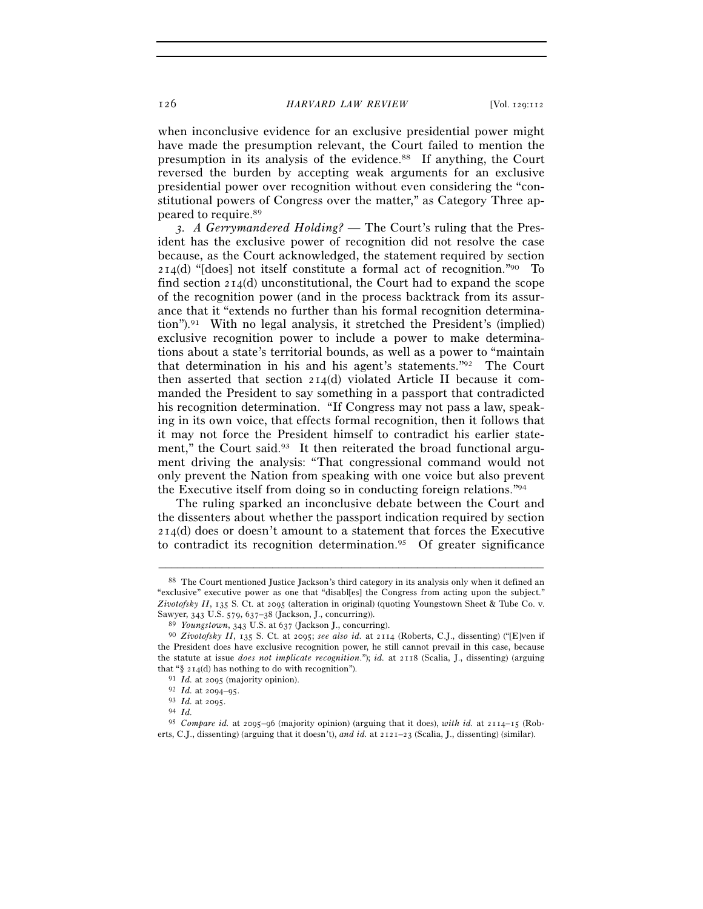when inconclusive evidence for an exclusive presidential power might have made the presumption relevant, the Court failed to mention the presumption in its analysis of the evidence.88 If anything, the Court reversed the burden by accepting weak arguments for an exclusive presidential power over recognition without even considering the "constitutional powers of Congress over the matter," as Category Three appeared to require.89

 *3. A Gerrymandered Holding?* — The Court's ruling that the President has the exclusive power of recognition did not resolve the case because, as the Court acknowledged, the statement required by section  $214(d)$  "[does] not itself constitute a formal act of recognition."<sup>90</sup> To find section  $214(d)$  unconstitutional, the Court had to expand the scope of the recognition power (and in the process backtrack from its assurance that it "extends no further than his formal recognition determination").91 With no legal analysis, it stretched the President's (implied) exclusive recognition power to include a power to make determinations about a state's territorial bounds, as well as a power to "maintain that determination in his and his agent's statements."92 The Court then asserted that section 214(d) violated Article II because it commanded the President to say something in a passport that contradicted his recognition determination. "If Congress may not pass a law, speaking in its own voice, that effects formal recognition, then it follows that it may not force the President himself to contradict his earlier statement," the Court said.<sup>93</sup> It then reiterated the broad functional argument driving the analysis: "That congressional command would not only prevent the Nation from speaking with one voice but also prevent the Executive itself from doing so in conducting foreign relations."94

The ruling sparked an inconclusive debate between the Court and the dissenters about whether the passport indication required by section 214(d) does or doesn't amount to a statement that forces the Executive to contradict its recognition determination.95 Of greater significance

<sup>88</sup> The Court mentioned Justice Jackson's third category in its analysis only when it defined an "exclusive" executive power as one that "disabl[es] the Congress from acting upon the subject." *Zivotofsky II*, 135 S. Ct. at 2095 (alteration in original) (quoting Youngstown Sheet & Tube Co. v. Sawyer, 343 U.S. 579, 637–38 (Jackson, J., concurring).<br><sup>89</sup> *Youngstown*, 343 U.S. at 637 (Jackson J., concurring).<br><sup>90</sup> *Zivotofsky II*, 135 S. Ct. at 2095; *see also id.* at 2114 (Roberts, C.J., dissenting) ("[E]ven if

the President does have exclusive recognition power, he still cannot prevail in this case, because the statute at issue *does not implicate recognition*."); *id.* at 2118 (Scalia, J., dissenting) (arguing that "§ 214(d) has nothing to do with recognition").<br><sup>91</sup> *Id.* at 2095 (majority opinion).<br><sup>92</sup> *Id.* at 2094-95.<br><sup>93</sup> *Id.* at 2095.<br><sup>94</sup> *Id.*<br><sup>95</sup> *Compare id.* at 2095-96 (majority opinion) (arguing that it does), wi

erts, C.J., dissenting) (arguing that it doesn't), *and id.* at 2121–23 (Scalia, J., dissenting) (similar).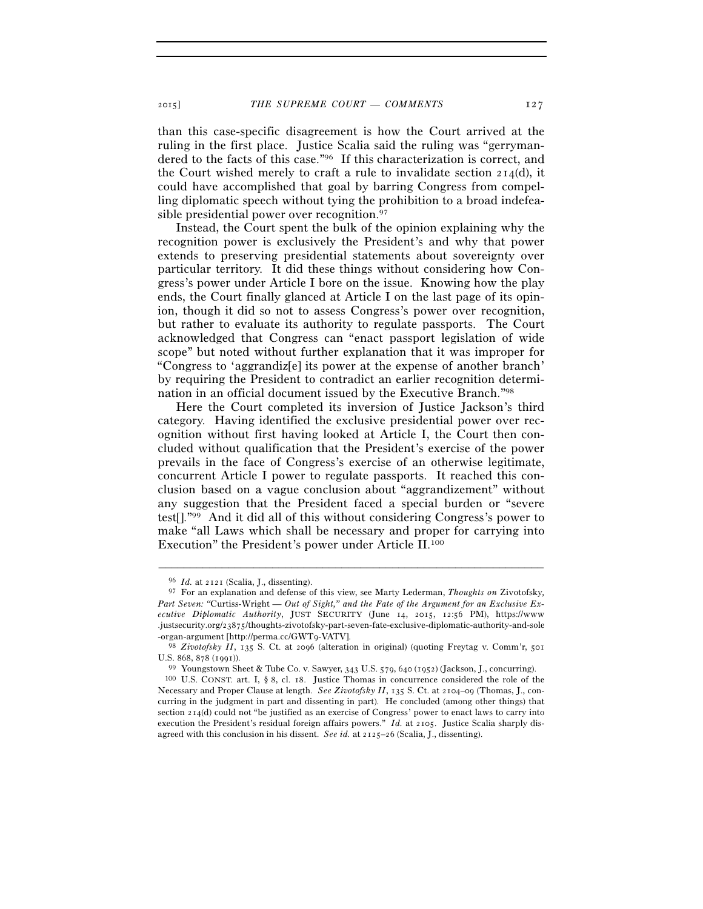than this case-specific disagreement is how the Court arrived at the ruling in the first place. Justice Scalia said the ruling was "gerrymandered to the facts of this case."96 If this characterization is correct, and the Court wished merely to craft a rule to invalidate section  $214(d)$ , it could have accomplished that goal by barring Congress from compelling diplomatic speech without tying the prohibition to a broad indefeasible presidential power over recognition.97

Instead, the Court spent the bulk of the opinion explaining why the recognition power is exclusively the President's and why that power extends to preserving presidential statements about sovereignty over particular territory. It did these things without considering how Congress's power under Article I bore on the issue. Knowing how the play ends, the Court finally glanced at Article I on the last page of its opinion, though it did so not to assess Congress's power over recognition, but rather to evaluate its authority to regulate passports. The Court acknowledged that Congress can "enact passport legislation of wide scope" but noted without further explanation that it was improper for "Congress to 'aggrandiz[e] its power at the expense of another branch' by requiring the President to contradict an earlier recognition determination in an official document issued by the Executive Branch."98

Here the Court completed its inversion of Justice Jackson's third category. Having identified the exclusive presidential power over recognition without first having looked at Article I, the Court then concluded without qualification that the President's exercise of the power prevails in the face of Congress's exercise of an otherwise legitimate, concurrent Article I power to regulate passports. It reached this conclusion based on a vague conclusion about "aggrandizement" without any suggestion that the President faced a special burden or "severe test[]."99 And it did all of this without considering Congress's power to make "all Laws which shall be necessary and proper for carrying into Execution" the President's power under Article II.100

<sup>96</sup> *Id.* at 2121 (Scalia, J., dissenting).

<sup>97</sup> For an explanation and defense of this view, see Marty Lederman, *Thoughts on* Zivotofsky*, Part Seven: "*Curtiss-Wright *— Out of Sight," and the Fate of the Argument for an Exclusive Executive Diplomatic Authority*, JUST SECURITY (June 14, 2015, 12:56 PM), https://www .justsecurity.org/23875/thoughts-zivotofsky-part-seven-fate-exclusive-diplomatic-authority-and-sole -organ-argument [http://perma.cc/GWT9-VATV]. 98 *Zivotofsky II*, 135 S. Ct. at 2096 (alteration in original) (quoting Freytag v. Comm'r, <sup>501</sup>

U.S. 868, 878 (1991)). 99 Youngstown Sheet & Tube Co. v. Sawyer, 343 U.S. 579, 640 (1952) (Jackson, J., concurring). 100 U.S. CONST. art. I, § 8, cl. 18. Justice Thomas in concurrence considered the role of the Necessary and Proper Clause at length. *See Zivotofsky II*, 135 S. Ct. at 2104–09 (Thomas, J., concurring in the judgment in part and dissenting in part). He concluded (among other things) that section  $214(d)$  could not "be justified as an exercise of Congress' power to enact laws to carry into execution the President's residual foreign affairs powers." *Id.* at 2105. Justice Scalia sharply disagreed with this conclusion in his dissent. *See id.* at 2125–26 (Scalia, J., dissenting).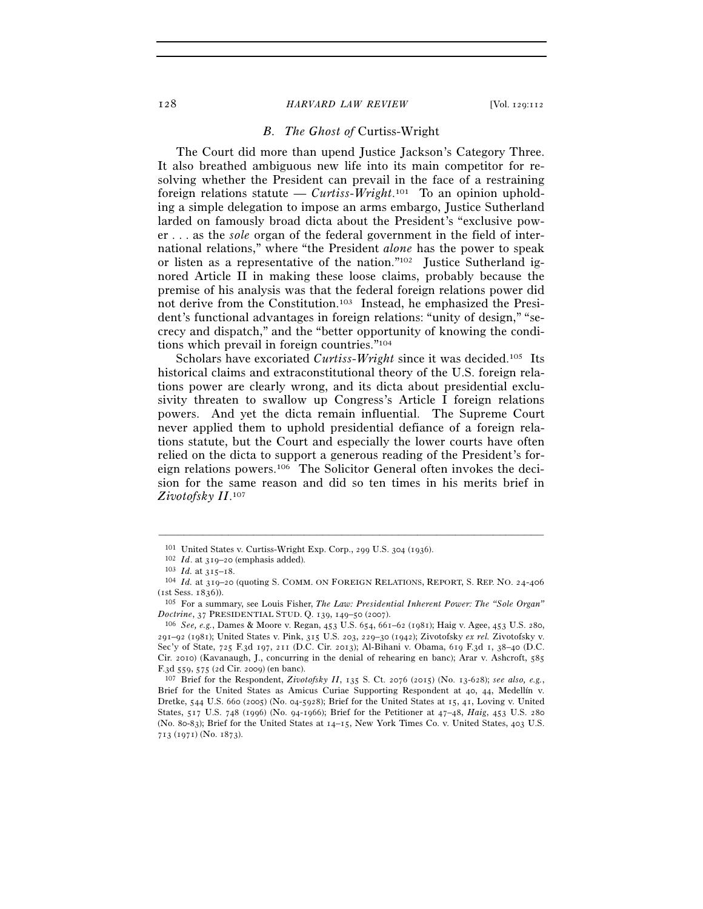### *B. The Ghost of* Curtiss-Wright

The Court did more than upend Justice Jackson's Category Three. It also breathed ambiguous new life into its main competitor for resolving whether the President can prevail in the face of a restraining foreign relations statute — *Curtiss-Wright*.<sup>101</sup> To an opinion upholding a simple delegation to impose an arms embargo, Justice Sutherland larded on famously broad dicta about the President's "exclusive power . . . as the *sole* organ of the federal government in the field of international relations," where "the President *alone* has the power to speak or listen as a representative of the nation."<sup>102</sup> Justice Sutherland ignored Article II in making these loose claims, probably because the premise of his analysis was that the federal foreign relations power did not derive from the Constitution.103 Instead, he emphasized the President's functional advantages in foreign relations: "unity of design," "secrecy and dispatch," and the "better opportunity of knowing the conditions which prevail in foreign countries."104

Scholars have excoriated *Curtiss-Wright* since it was decided.105 Its historical claims and extraconstitutional theory of the U.S. foreign relations power are clearly wrong, and its dicta about presidential exclusivity threaten to swallow up Congress's Article I foreign relations powers. And yet the dicta remain influential. The Supreme Court never applied them to uphold presidential defiance of a foreign relations statute, but the Court and especially the lower courts have often relied on the dicta to support a generous reading of the President's foreign relations powers.106 The Solicitor General often invokes the decision for the same reason and did so ten times in his merits brief in *Zivotofsky II*. 107

<sup>&</sup>lt;sup>101</sup> United States v. Curtiss-Wright Exp. Corp., 299 U.S. 304 (1936).<br><sup>102</sup> *Id.* at 319–20 (emphasis added).<br><sup>103</sup> *Id.* at 315–18.<br><sup>104</sup> *Id.* at 319–20 (quoting S. COMM. ON FOREIGN RELATIONS, REPORT, S. REP. NO. 24-40 (1st Sess. 1836)).

<sup>105</sup> For a summary, see Louis Fisher, *The Law: Presidential Inherent Power: The "Sole Organ" Doctrine*, 37 PRESIDENTIAL STUD. Q. 139, 149–50 (2007). 106 *See, e.g.*, Dames & Moore v. Regan, 453 U.S. 654, 661–62 (1981); Haig v. Agee, 453 U.S. 280,

<sup>291</sup>–92 (1981); United States v. Pink, 315 U.S. 203, 229–30 (1942); Zivotofsky *ex rel.* Zivotofsky v. Sec'y of State, 725 F.3d 197, 211 (D.C. Cir. 2013); Al-Bihani v. Obama, 619 F.3d 1, 38–40 (D.C. Cir. 2010) (Kavanaugh, J., concurring in the denial of rehearing en banc); Arar v. Ashcroft, 585 F.3d 559, 575 (2d Cir. 2009) (en banc). 107 Brief for the Respondent, *Zivotofsky II*, 135 S. Ct. 2076 (2015) (No. 13-628); *see also, e.g.*,

Brief for the United States as Amicus Curiae Supporting Respondent at 40, 44, Medellín v. Dretke, 544 U.S. 660 (2005) (No. 04-5928); Brief for the United States at 15, 41, Loving v. United States, 517 U.S. 748 (1996) (No. 94-1966); Brief for the Petitioner at 47–48, *Haig*, 453 U.S. 280 (No. 80-83); Brief for the United States at 14–15, New York Times Co. v. United States, 403 U.S. 713 (1971) (No. 1873).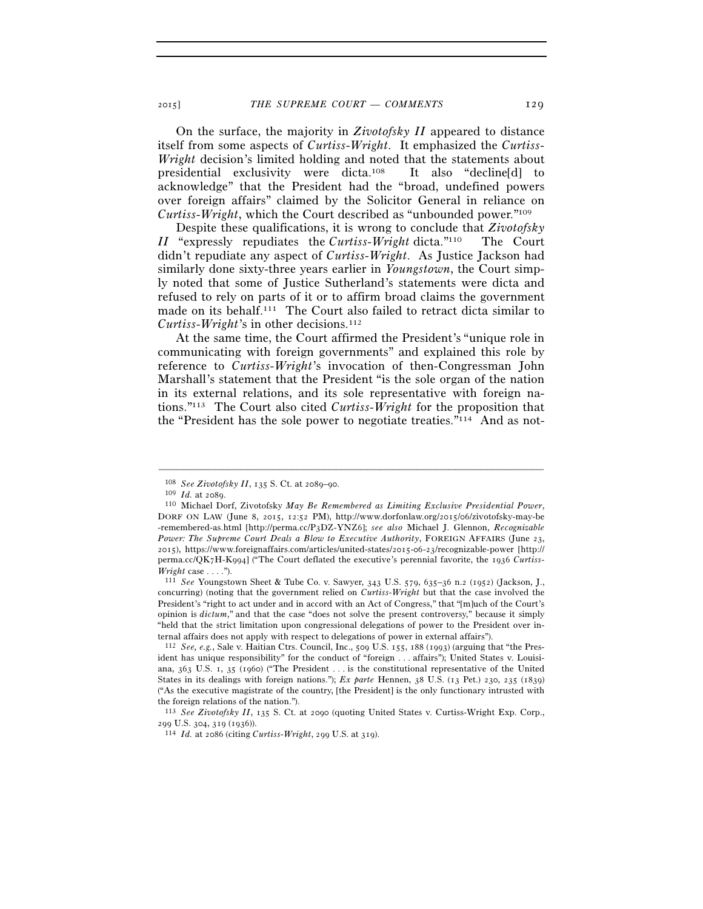On the surface, the majority in *Zivotofsky II* appeared to distance itself from some aspects of *Curtiss-Wright*. It emphasized the *Curtiss-Wright* decision's limited holding and noted that the statements about presidential exclusivity were dicta.108 It also "decline[d] to acknowledge" that the President had the "broad, undefined powers over foreign affairs" claimed by the Solicitor General in reliance on *Curtiss-Wright*, which the Court described as "unbounded power."109

Despite these qualifications, it is wrong to conclude that *Zivotofsky II* "expressly repudiates the *Curtiss-Wright* dicta."110 The Court didn't repudiate any aspect of *Curtiss-Wright*. As Justice Jackson had similarly done sixty-three years earlier in *Youngstown*, the Court simply noted that some of Justice Sutherland's statements were dicta and refused to rely on parts of it or to affirm broad claims the government made on its behalf.111 The Court also failed to retract dicta similar to *Curtiss-Wright*'s in other decisions.112

At the same time, the Court affirmed the President's "unique role in communicating with foreign governments" and explained this role by reference to *Curtiss-Wright*'s invocation of then-Congressman John Marshall's statement that the President "is the sole organ of the nation in its external relations, and its sole representative with foreign nations."113 The Court also cited *Curtiss-Wright* for the proposition that the "President has the sole power to negotiate treaties."114 And as not-

<sup>108</sup> *See Zivotofsky II*, 135 S. Ct. at 2089–90. 109 *Id.* at 2089. 110 Michael Dorf, Zivotofsky *May Be Remembered as Limiting Exclusive Presidential Power*, DORF ON LAW (June 8, 2015, 12:52 PM), http://www.dorfonlaw.org/2015/06/zivotofsky-may-be -remembered-as.html [http://perma.cc/P3DZ-YNZ6]; *see also* Michael J. Glennon, *Recognizable Power: The Supreme Court Deals a Blow to Executive Authority*, FOREIGN AFFAIRS (June 23, 2015), https://www.foreignaffairs.com/articles/united-states/2015-06-23/recognizable-power [http:// perma.cc/QK7H-K994] ("The Court deflated the executive's perennial favorite, the 1936 *Curtiss-*

*Wright* case . . . .").<br><sup>111</sup> *See* Youngstown Sheet & Tube Co. v. Sawyer, 343 U.S. 579, 635–36 n.2 (1952) (Jackson, J., concurring) (noting that the government relied on *Curtiss-Wright* but that the case involved the President's "right to act under and in accord with an Act of Congress," that "[m]uch of the Court's opinion is *dictum*," and that the case "does not solve the present controversy," because it simply "held that the strict limitation upon congressional delegations of power to the President over internal affairs does not apply with respect to delegations of power in external affairs"). 112 *See, e.g.*, Sale v. Haitian Ctrs. Council, Inc., 509 U.S. 155, 188 (1993) (arguing that "the Pres-

ident has unique responsibility" for the conduct of "foreign . . . affairs"); United States v. Louisiana, 363 U.S. 1, 35 (1960) ("The President . . . is the constitutional representative of the United States in its dealings with foreign nations."); *Ex parte* Hennen, 38 U.S. (13 Pet.) 230, 235 (1839) ("As the executive magistrate of the country, [the President] is the only functionary intrusted with the foreign relations of the nation.").

<sup>113</sup> *See Zivotofsky II*, 135 S. Ct. at 2090 (quoting United States v. Curtiss-Wright Exp. Corp., <sup>299</sup> U.S. 304, 319 (1936)). 114 *Id.* at 2086 (citing *Curtiss-Wright*, 299 U.S. at 319).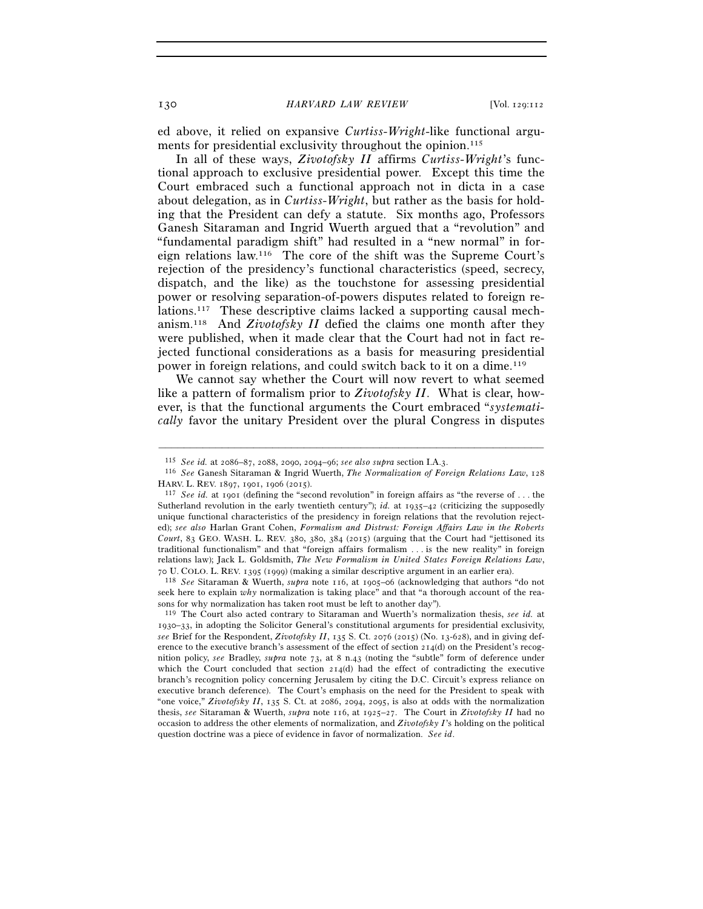ed above, it relied on expansive *Curtiss-Wright*-like functional arguments for presidential exclusivity throughout the opinion.<sup>115</sup>

In all of these ways, *Zivotofsky II* affirms *Curtiss-Wright*'s functional approach to exclusive presidential power. Except this time the Court embraced such a functional approach not in dicta in a case about delegation, as in *Curtiss-Wright*, but rather as the basis for holding that the President can defy a statute. Six months ago, Professors Ganesh Sitaraman and Ingrid Wuerth argued that a "revolution" and "fundamental paradigm shift" had resulted in a "new normal" in foreign relations law.116 The core of the shift was the Supreme Court's rejection of the presidency's functional characteristics (speed, secrecy, dispatch, and the like) as the touchstone for assessing presidential power or resolving separation-of-powers disputes related to foreign relations.117 These descriptive claims lacked a supporting causal mechanism.118 And *Zivotofsky II* defied the claims one month after they were published, when it made clear that the Court had not in fact rejected functional considerations as a basis for measuring presidential power in foreign relations, and could switch back to it on a dime.119

We cannot say whether the Court will now revert to what seemed like a pattern of formalism prior to *Zivotofsky II*. What is clear, however, is that the functional arguments the Court embraced "*systematically* favor the unitary President over the plural Congress in disputes

–––––––––––––––––––––––––––––––––––––––––––––––––––––––––––––

<sup>70</sup> U. COLO. L. REV. 1395 (1999) (making a similar descriptive argument in an earlier era). 118 *See* Sitaraman & Wuerth, *supra* note 116, at 1905–06 (acknowledging that authors "do not seek here to explain *why* normalization is taking place" and that "a thorough account of the reasons for why normalization has taken root must be left to another day"). 119 The Court also acted contrary to Sitaraman and Wuerth's normalization thesis, *see id.* at

1930–33, in adopting the Solicitor General's constitutional arguments for presidential exclusivity, *see* Brief for the Respondent, *Zivotofsky II*, 135 S. Ct. 2076 (2015) (No. 13-628), and in giving deference to the executive branch's assessment of the effect of section  $214(d)$  on the President's recognition policy, *see* Bradley, *supra* note 73, at 8 n.43 (noting the "subtle" form of deference under which the Court concluded that section 214(d) had the effect of contradicting the executive branch's recognition policy concerning Jerusalem by citing the D.C. Circuit's express reliance on executive branch deference). The Court's emphasis on the need for the President to speak with "one voice," *Zivotofsky II*, 135 S. Ct. at 2086, 2094, 2095, is also at odds with the normalization thesis, *see* Sitaraman & Wuerth, *supra* note 116, at 1925–27. The Court in *Zivotofsky II* had no occasion to address the other elements of normalization, and *Zivotofsky I*'s holding on the political question doctrine was a piece of evidence in favor of normalization. *See id*.

<sup>115</sup> *See id.* at 2086–87, 2088, 2090, 2094–96; *see also supra* section I.A.3. 116 *See* Ganesh Sitaraman & Ingrid Wuerth, *The Normalization of Foreign Relations Law*, <sup>128</sup> HARV. L. REV. 1897, 1901, 1906 (2015).<br><sup>117</sup> *See id.* at 1901 (defining the "second revolution" in foreign affairs as "the reverse of ... the

Sutherland revolution in the early twentieth century"); *id.* at 1935–42 (criticizing the supposedly unique functional characteristics of the presidency in foreign relations that the revolution rejected); *see also* Harlan Grant Cohen, *Formalism and Distrust: Foreign Affairs Law in the Roberts Court*, 83 GEO. WASH. L. REV. 380, 380, 384 (2015) (arguing that the Court had "jettisoned its traditional functionalism" and that "foreign affairs formalism . . . is the new reality" in foreign relations law); Jack L. Goldsmith, *The New Formalism in United States Foreign Relations Law*,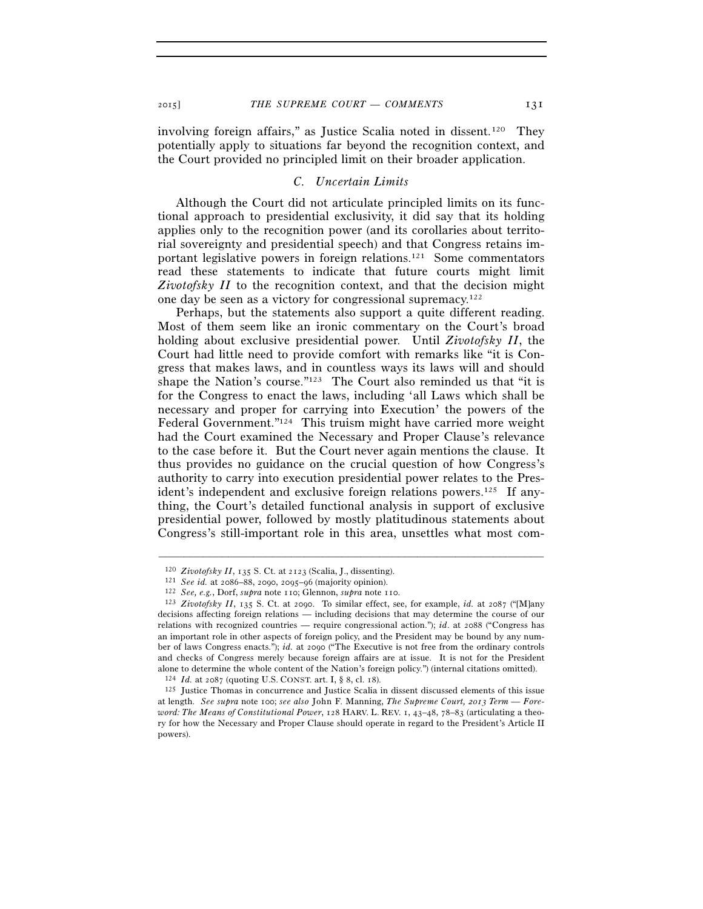involving foreign affairs," as Justice Scalia noted in dissent.<sup>120</sup> They potentially apply to situations far beyond the recognition context, and the Court provided no principled limit on their broader application.

## *C. Uncertain Limits*

Although the Court did not articulate principled limits on its functional approach to presidential exclusivity, it did say that its holding applies only to the recognition power (and its corollaries about territorial sovereignty and presidential speech) and that Congress retains important legislative powers in foreign relations.121 Some commentators read these statements to indicate that future courts might limit *Zivotofsky II* to the recognition context, and that the decision might one day be seen as a victory for congressional supremacy.122

Perhaps, but the statements also support a quite different reading. Most of them seem like an ironic commentary on the Court's broad holding about exclusive presidential power. Until *Zivotofsky II*, the Court had little need to provide comfort with remarks like "it is Congress that makes laws, and in countless ways its laws will and should shape the Nation's course."123 The Court also reminded us that "it is for the Congress to enact the laws, including 'all Laws which shall be necessary and proper for carrying into Execution' the powers of the Federal Government."124 This truism might have carried more weight had the Court examined the Necessary and Proper Clause's relevance to the case before it. But the Court never again mentions the clause. It thus provides no guidance on the crucial question of how Congress's authority to carry into execution presidential power relates to the President's independent and exclusive foreign relations powers.<sup>125</sup> If anything, the Court's detailed functional analysis in support of exclusive presidential power, followed by mostly platitudinous statements about Congress's still-important role in this area, unsettles what most com-

<sup>&</sup>lt;sup>120</sup> Zivotofsky II, 135 S. Ct. at 2123 (Scalia, J., dissenting).<br>
<sup>121</sup> See id. at 2086–88, 2090, 2095–96 (majority opinion).<br>
<sup>122</sup> See, e.g., Dorf, supra note 110; Glennon, supra note 110.<br>
<sup>123</sup> Zivotofsky II, 135 S. decisions affecting foreign relations — including decisions that may determine the course of our relations with recognized countries — require congressional action."); *id*. at 2088 ("Congress has an important role in other aspects of foreign policy, and the President may be bound by any number of laws Congress enacts."); *id.* at 2090 ("The Executive is not free from the ordinary controls and checks of Congress merely because foreign affairs are at issue. It is not for the President alone to determine the whole content of the Nation's foreign policy.") (internal citations omitted).<br> $124$  *Id.* at  $2087$  (quoting U.S. CONST. art. I, § 8, cl. 18).

<sup>&</sup>lt;sup>125</sup> Justice Thomas in concurrence and Justice Scalia in dissent discussed elements of this issue at length. *See supra* note 100; *see also* John F. Manning, *The Supreme Court, 2013 Term — Foreword: The Means of Constitutional Power*, 128 HARV. L. REV. 1, 43–48, 78–83 (articulating a theory for how the Necessary and Proper Clause should operate in regard to the President's Article II powers).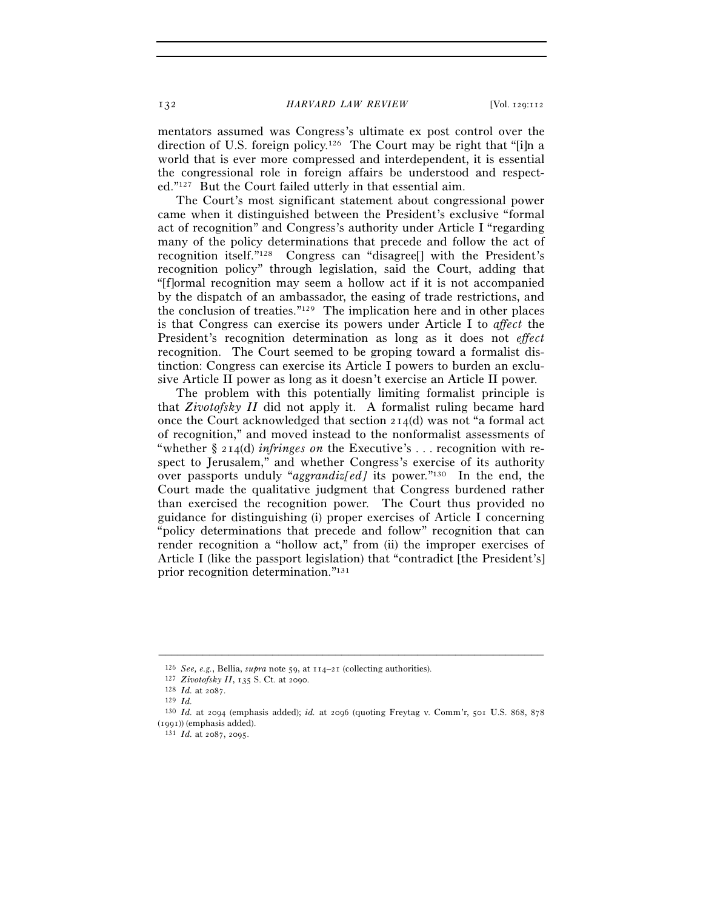mentators assumed was Congress's ultimate ex post control over the direction of U.S. foreign policy.126 The Court may be right that "[i]n a world that is ever more compressed and interdependent, it is essential the congressional role in foreign affairs be understood and respected."127 But the Court failed utterly in that essential aim.

The Court's most significant statement about congressional power came when it distinguished between the President's exclusive "formal act of recognition" and Congress's authority under Article I "regarding many of the policy determinations that precede and follow the act of recognition itself."128 Congress can "disagree[] with the President's recognition policy" through legislation, said the Court, adding that "[f]ormal recognition may seem a hollow act if it is not accompanied by the dispatch of an ambassador, the easing of trade restrictions, and the conclusion of treaties."129 The implication here and in other places is that Congress can exercise its powers under Article I to *affect* the President's recognition determination as long as it does not *effect* recognition. The Court seemed to be groping toward a formalist distinction: Congress can exercise its Article I powers to burden an exclusive Article II power as long as it doesn't exercise an Article II power.

The problem with this potentially limiting formalist principle is that *Zivotofsky II* did not apply it. A formalist ruling became hard once the Court acknowledged that section  $214(d)$  was not "a formal act" of recognition," and moved instead to the nonformalist assessments of "whether § 214(d) *infringes on* the Executive's . . . recognition with respect to Jerusalem," and whether Congress's exercise of its authority over passports unduly "*aggrandiz[ed]* its power."130 In the end, the Court made the qualitative judgment that Congress burdened rather than exercised the recognition power. The Court thus provided no guidance for distinguishing (i) proper exercises of Article I concerning "policy determinations that precede and follow" recognition that can render recognition a "hollow act," from (ii) the improper exercises of Article I (like the passport legislation) that "contradict [the President's] prior recognition determination."131

<sup>&</sup>lt;sup>126</sup> *See, e.g.*, Bellia, *supra* note 59, at 114–21 (collecting authorities).<br>
<sup>127</sup> *Zivotofsky II*, 135 S. Ct. at 2090.<br>
<sup>128</sup> *Id.* at 2087.<br>
<sup>129</sup> *Id.* at 2094 (emphasis added); *id.* at 2096 (quoting Freytag v. Co (1991)) (emphasis added).  $131 \; Id.$  at 2087, 2095.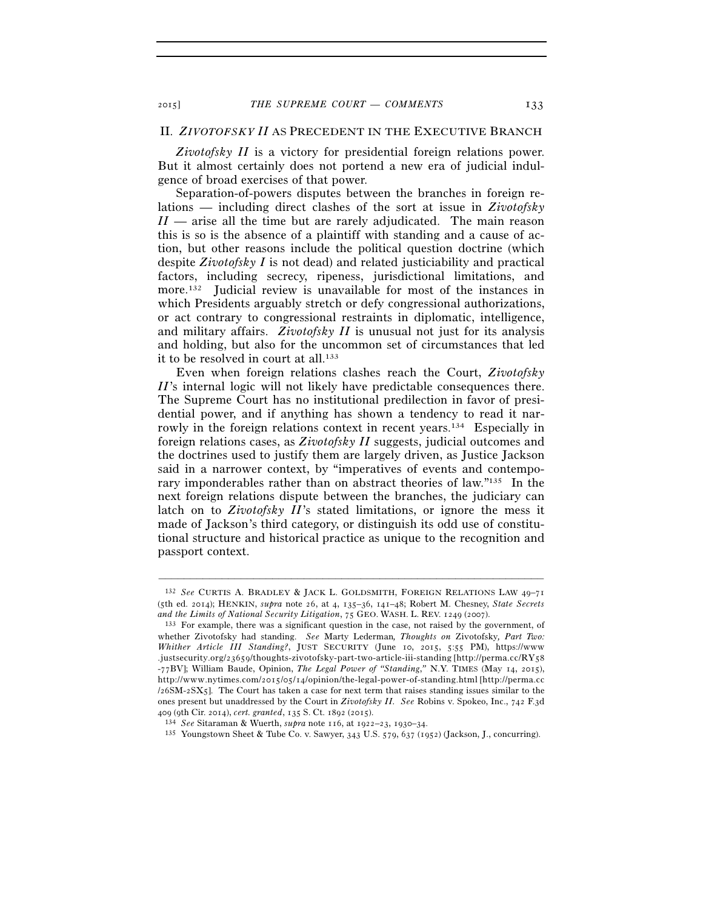### II. *ZIVOTOFSKY II* AS PRECEDENT IN THE EXECUTIVE BRANCH

*Zivotofsky II* is a victory for presidential foreign relations power. But it almost certainly does not portend a new era of judicial indulgence of broad exercises of that power.

Separation-of-powers disputes between the branches in foreign relations — including direct clashes of the sort at issue in *Zivotofsky II* — arise all the time but are rarely adjudicated. The main reason this is so is the absence of a plaintiff with standing and a cause of action, but other reasons include the political question doctrine (which despite *Zivotofsky I* is not dead) and related justiciability and practical factors, including secrecy, ripeness, jurisdictional limitations, and more.<sup>132</sup> Judicial review is unavailable for most of the instances in which Presidents arguably stretch or defy congressional authorizations, or act contrary to congressional restraints in diplomatic, intelligence, and military affairs. *Zivotofsky II* is unusual not just for its analysis and holding, but also for the uncommon set of circumstances that led it to be resolved in court at all.<sup>133</sup>

Even when foreign relations clashes reach the Court, *Zivotofsky II*'s internal logic will not likely have predictable consequences there. The Supreme Court has no institutional predilection in favor of presidential power, and if anything has shown a tendency to read it narrowly in the foreign relations context in recent years.134 Especially in foreign relations cases, as *Zivotofsky II* suggests, judicial outcomes and the doctrines used to justify them are largely driven, as Justice Jackson said in a narrower context, by "imperatives of events and contemporary imponderables rather than on abstract theories of law."135 In the next foreign relations dispute between the branches, the judiciary can latch on to *Zivotofsky II*'s stated limitations, or ignore the mess it made of Jackson's third category, or distinguish its odd use of constitutional structure and historical practice as unique to the recognition and passport context.

<sup>132</sup> *See* CURTIS A. BRADLEY & JACK L. GOLDSMITH, FOREIGN RELATIONS LAW 49–71 (5th ed. 2014); HENKIN, *supra* note 26, at 4, 135–36, 141–48; Robert M. Chesney, *State Secrets and the Limits of National Security Litigation*, 75 GEO. WASH. L. REV. 1249 (2007). 133 For example, there was a significant question in the case, not raised by the government, of

whether Zivotofsky had standing. *See* Marty Lederman*, Thoughts on* Zivotofsky*, Part Two: Whither Article III Standing?*, JUST SECURITY (June 10, 2015, 5:55 PM), https://www .justsecurity.org/23659/thoughts-zivotofsky-part-two-article-iii-standing [http://perma.cc/RY58 -77BV]; William Baude, Opinion, *The Legal Power of "Standing*,*"* N.Y. TIMES (May 14, 2015), http://www.nytimes.com/2015/05/14/opinion/the-legal-power-of-standing.html [http://perma.cc /26SM-2SX5]. The Court has taken a case for next term that raises standing issues similar to the ones present but unaddressed by the Court in *Zivotofsky II. See* Robins v. Spokeo, Inc., 742 F.3d

<sup>&</sup>lt;sup>134</sup> See Sitaraman & Wuerth, *supra* note 116, at 1922–23, 1930–34.<br><sup>135</sup> Youngstown Sheet & Tube Co. v. Sawyer, 343 U.S. 579, 637 (1952) (Jackson, J., concurring).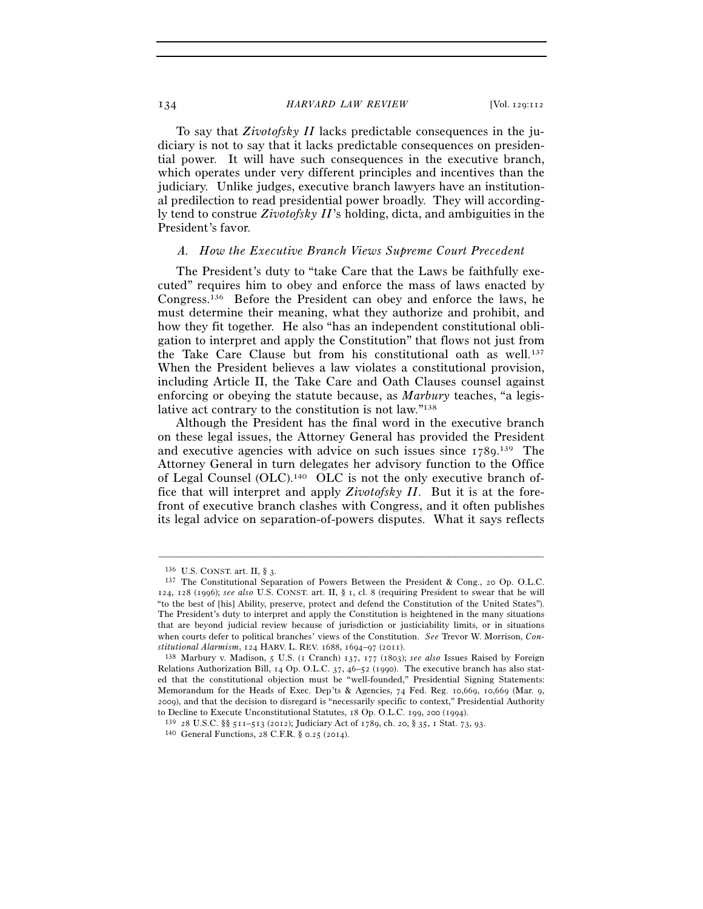To say that *Zivotofsky II* lacks predictable consequences in the judiciary is not to say that it lacks predictable consequences on presidential power. It will have such consequences in the executive branch, which operates under very different principles and incentives than the judiciary. Unlike judges, executive branch lawyers have an institutional predilection to read presidential power broadly. They will accordingly tend to construe *Zivotofsky II*'s holding, dicta, and ambiguities in the President's favor.

### *A. How the Executive Branch Views Supreme Court Precedent*

The President's duty to "take Care that the Laws be faithfully executed" requires him to obey and enforce the mass of laws enacted by Congress.136 Before the President can obey and enforce the laws, he must determine their meaning, what they authorize and prohibit, and how they fit together. He also "has an independent constitutional obligation to interpret and apply the Constitution" that flows not just from the Take Care Clause but from his constitutional oath as well.137 When the President believes a law violates a constitutional provision, including Article II, the Take Care and Oath Clauses counsel against enforcing or obeying the statute because, as *Marbury* teaches, "a legislative act contrary to the constitution is not law."138

Although the President has the final word in the executive branch on these legal issues, the Attorney General has provided the President and executive agencies with advice on such issues since 1789. 139 The Attorney General in turn delegates her advisory function to the Office of Legal Counsel  $(OLC)$ .<sup>140</sup> OLC is not the only executive branch office that will interpret and apply *Zivotofsky II*. But it is at the forefront of executive branch clashes with Congress, and it often publishes its legal advice on separation-of-powers disputes. What it says reflects

<sup>&</sup>lt;sup>136</sup> U.S. CONST. art. II, § 3. 137 The Constitutional Separation of Powers Between the President & Cong., 20 Op. O.L.C. 124, 128 (1996); *see also* U.S. CONST. art. II, § 1, cl. 8 (requiring President to swear that he will "to the best of [his] Ability, preserve, protect and defend the Constitution of the United States"). The President's duty to interpret and apply the Constitution is heightened in the many situations that are beyond judicial review because of jurisdiction or justiciability limits, or in situations when courts defer to political branches' views of the Constitution. *See* Trevor W. Morrison, *Constitutional Alarmism*, 124 HARV. L. REV. 1688, 1694–97 (2011). 138 Marbury v. Madison, 5 U.S. (1 Cranch) 137, 177 (1803); *see also* Issues Raised by Foreign

Relations Authorization Bill, 14 Op. O.L.C. 37, 46–52 (1990). The executive branch has also stated that the constitutional objection must be "well-founded," Presidential Signing Statements: Memorandum for the Heads of Exec. Dep'ts & Agencies, 74 Fed. Reg. 10,669, 10,669 (Mar. 9, 2009), and that the decision to disregard is "necessarily specific to context," Presidential Authority to Decline to Execute Unconstitutional Statutes, 18 Op. O.L.C. 199, 200 (1994).

<sup>139 28</sup> U.S.C. §§ 511–513 (2012); Judiciary Act of 1789, ch. 20, § 35, 1 Stat. 73, 93. 140 General Functions, 28 C.F.R. § 0.25 (2014).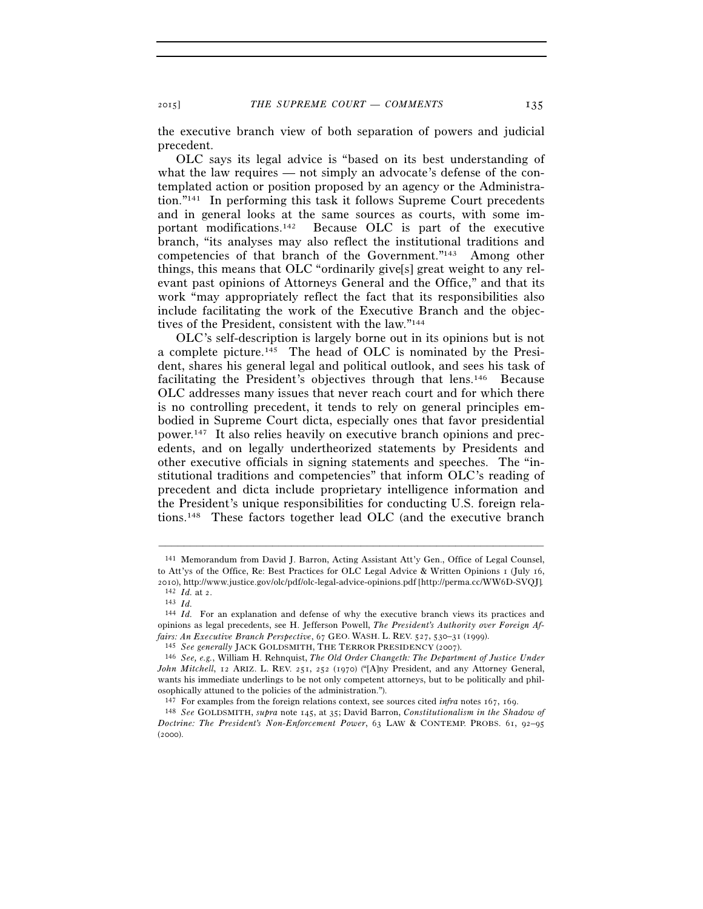the executive branch view of both separation of powers and judicial precedent.

OLC says its legal advice is "based on its best understanding of what the law requires — not simply an advocate's defense of the contemplated action or position proposed by an agency or the Administration."141 In performing this task it follows Supreme Court precedents and in general looks at the same sources as courts, with some important modifications.142 Because OLC is part of the executive branch, "its analyses may also reflect the institutional traditions and competencies of that branch of the Government."143 Among other things, this means that OLC "ordinarily give[s] great weight to any relevant past opinions of Attorneys General and the Office," and that its work "may appropriately reflect the fact that its responsibilities also include facilitating the work of the Executive Branch and the objectives of the President, consistent with the law."144

OLC's self-description is largely borne out in its opinions but is not a complete picture.145 The head of OLC is nominated by the President, shares his general legal and political outlook, and sees his task of facilitating the President's objectives through that lens.146 Because OLC addresses many issues that never reach court and for which there is no controlling precedent, it tends to rely on general principles embodied in Supreme Court dicta, especially ones that favor presidential power.147 It also relies heavily on executive branch opinions and precedents, and on legally undertheorized statements by Presidents and other executive officials in signing statements and speeches. The "institutional traditions and competencies" that inform OLC's reading of precedent and dicta include proprietary intelligence information and the President's unique responsibilities for conducting U.S. foreign relations.148 These factors together lead OLC (and the executive branch

<sup>141</sup> Memorandum from David J. Barron, Acting Assistant Att'y Gen., Office of Legal Counsel, to Att'ys of the Office, Re: Best Practices for OLC Legal Advice & Written Opinions 1 (July 16, 2010), http://www.justice.gov/olc/pdf/olc-legal-advice-opinions.pdf [http://perma.cc/WW6D-SVQJ].  $^{142}\;$   $Id.$  at  $z.$ 

<sup>&</sup>lt;sup>143</sup> *Id.* For an explanation and defense of why the executive branch views its practices and <sup>144</sup> *Id.* For an explanation and defense of why the executive branch views its practices and opinions as legal precedents, see H. Jefferson Powell, *The President's Authority over Foreign Af*fairs: An Executive Branch Perspective, 67 GEO. WASH. L. REV. 527, 530–31 (1999).<br><sup>145</sup> See generally JACK GOLDSMITH, THE TERROR PRESIDENCY (2007).<br><sup>146</sup> See, e.g., William H. Rehnquist, *The Old Order Changeth: The Depart* 

*John Mitchell*, 12 ARIZ. L. REV. 251, 252 (1970) ("[A]ny President, and any Attorney General, wants his immediate underlings to be not only competent attorneys, but to be politically and philosophically attuned to the policies of the administration.").

<sup>147</sup> For examples from the foreign relations context, see sources cited *infra* notes 167, 169. 148 *See* GOLDSMITH, *supra* note 145, at 35; David Barron, *Constitutionalism in the Shadow of* 

*Doctrine: The President's Non-Enforcement Power*, 63 LAW & CONTEMP. PROBS. 61, 92–95  $(2000)$ .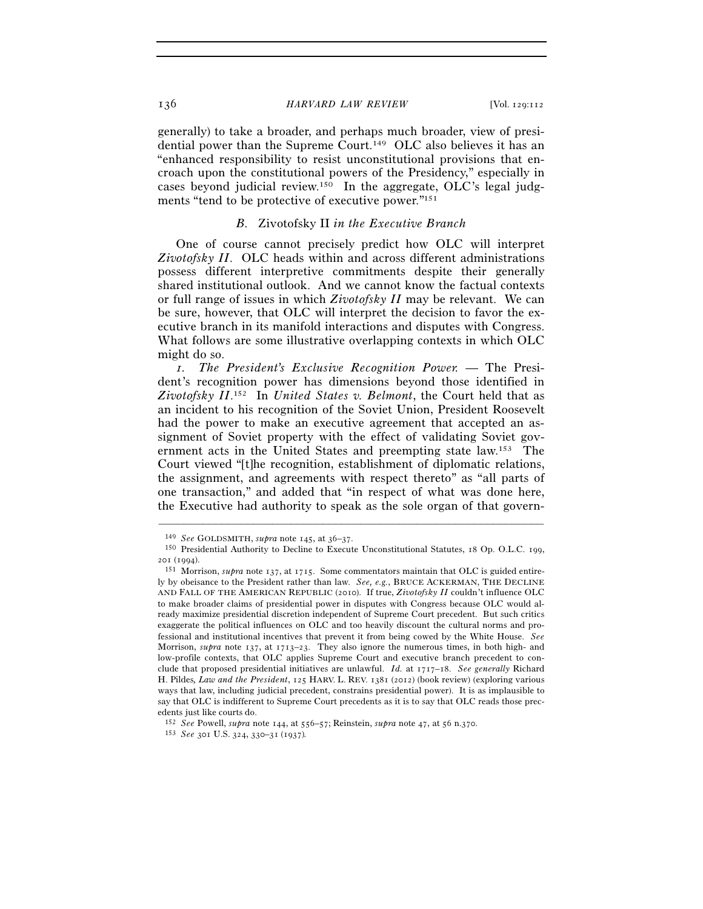generally) to take a broader, and perhaps much broader, view of presidential power than the Supreme Court.149 OLC also believes it has an "enhanced responsibility to resist unconstitutional provisions that encroach upon the constitutional powers of the Presidency," especially in cases beyond judicial review.150 In the aggregate, OLC's legal judgments "tend to be protective of executive power."151

### *B.* Zivotofsky II *in the Executive Branch*

One of course cannot precisely predict how OLC will interpret *Zivotofsky II*. OLC heads within and across different administrations possess different interpretive commitments despite their generally shared institutional outlook. And we cannot know the factual contexts or full range of issues in which *Zivotofsky II* may be relevant. We can be sure, however, that OLC will interpret the decision to favor the executive branch in its manifold interactions and disputes with Congress. What follows are some illustrative overlapping contexts in which OLC might do so.

 *1. The President's Exclusive Recognition Power.* — The President's recognition power has dimensions beyond those identified in *Zivotofsky II*. 152 In *United States v. Belmont*, the Court held that as an incident to his recognition of the Soviet Union, President Roosevelt had the power to make an executive agreement that accepted an assignment of Soviet property with the effect of validating Soviet government acts in the United States and preempting state law.153 The Court viewed "[t]he recognition, establishment of diplomatic relations, the assignment, and agreements with respect thereto" as "all parts of one transaction," and added that "in respect of what was done here, the Executive had authority to speak as the sole organ of that govern-

<sup>&</sup>lt;sup>149</sup> *See* GOLDSMITH, *supra* note 145, at 36–37.<br><sup>150</sup> Presidential Authority to Decline to Execute Unconstitutional Statutes, 18 Op. O.L.C. 199,

<sup>201</sup> (1994). 151 Morrison, *supra* note 137, at 1715. Some commentators maintain that OLC is guided entirely by obeisance to the President rather than law. *See, e.g.*, BRUCE ACKERMAN, THE DECLINE AND FALL OF THE AMERICAN REPUBLIC (2010). If true, *Zivotofsky II* couldn't influence OLC to make broader claims of presidential power in disputes with Congress because OLC would already maximize presidential discretion independent of Supreme Court precedent. But such critics exaggerate the political influences on OLC and too heavily discount the cultural norms and professional and institutional incentives that prevent it from being cowed by the White House. *See* Morrison, *supra* note 137, at 1713–23. They also ignore the numerous times, in both high- and low-profile contexts, that OLC applies Supreme Court and executive branch precedent to conclude that proposed presidential initiatives are unlawful. *Id.* at 1717–18. *See generally* Richard H. Pildes*, Law and the President*, 125 HARV. L. REV. 1381 (2012) (book review) (exploring various ways that law, including judicial precedent, constrains presidential power). It is as implausible to say that OLC is indifferent to Supreme Court precedents as it is to say that OLC reads those precedents just like courts do.

<sup>152</sup> *See* Powell, *supra* note 144, at 556–57; Reinstein, *supra* note 47, at 56 n.370. 153 *See* <sup>301</sup> U.S. 324, 330–31 (1937)*.*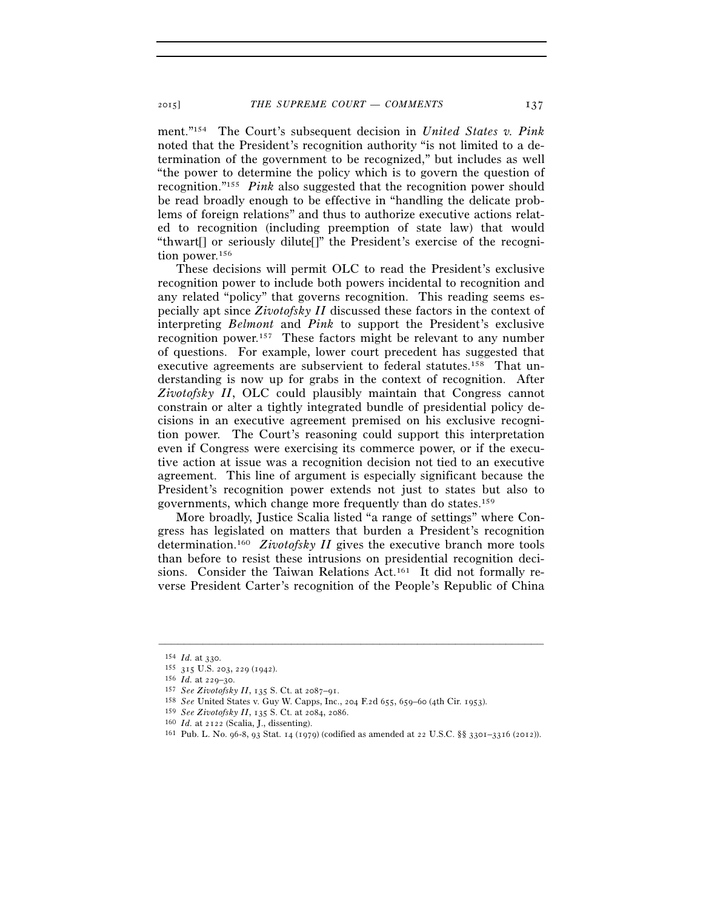ment."154 The Court's subsequent decision in *United States v. Pink* noted that the President's recognition authority "is not limited to a determination of the government to be recognized," but includes as well "the power to determine the policy which is to govern the question of recognition."155 *Pink* also suggested that the recognition power should be read broadly enough to be effective in "handling the delicate problems of foreign relations" and thus to authorize executive actions related to recognition (including preemption of state law) that would "thwart[] or seriously dilute[]" the President's exercise of the recognition power.<sup>156</sup>

These decisions will permit OLC to read the President's exclusive recognition power to include both powers incidental to recognition and any related "policy" that governs recognition. This reading seems especially apt since *Zivotofsky II* discussed these factors in the context of interpreting *Belmont* and *Pink* to support the President's exclusive recognition power.157 These factors might be relevant to any number of questions. For example, lower court precedent has suggested that executive agreements are subservient to federal statutes.158 That understanding is now up for grabs in the context of recognition. After *Zivotofsky II*, OLC could plausibly maintain that Congress cannot constrain or alter a tightly integrated bundle of presidential policy decisions in an executive agreement premised on his exclusive recognition power. The Court's reasoning could support this interpretation even if Congress were exercising its commerce power, or if the executive action at issue was a recognition decision not tied to an executive agreement. This line of argument is especially significant because the President's recognition power extends not just to states but also to governments, which change more frequently than do states.159

More broadly, Justice Scalia listed "a range of settings" where Congress has legislated on matters that burden a President's recognition determination.160 *Zivotofsky II* gives the executive branch more tools than before to resist these intrusions on presidential recognition decisions. Consider the Taiwan Relations Act.161 It did not formally reverse President Carter's recognition of the People's Republic of China

<sup>154</sup> *Id.* at 330.<br>
155 315 U.S. 203, 229 (1942).<br>
156 *Id.* at 229–30.<br>
157 *See Zivotofsky II*, 135 S. Ct. at 2087–91.<br>
158 *See* United States v. Guy W. Capps, Inc., 204 F.2d 655, 659–60 (4th Cir. 1953).<br>
159 *See Zivoto* 

<sup>&</sup>lt;sup>160</sup> *Id.* at 2122 (Scalia, J., dissenting).<br><sup>161</sup> Pub. L. No. 96-8, 93 Stat. 14 (1979) (codified as amended at 22 U.S.C. §§ 3301–3316 (2012)).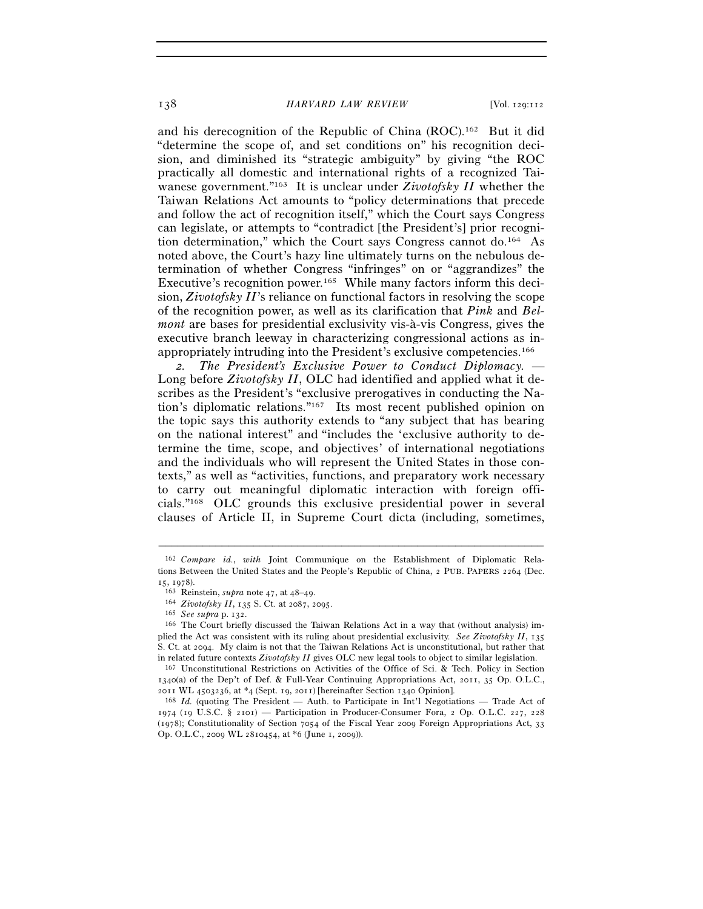and his derecognition of the Republic of China (ROC).162 But it did "determine the scope of, and set conditions on" his recognition decision, and diminished its "strategic ambiguity" by giving "the ROC practically all domestic and international rights of a recognized Taiwanese government."163 It is unclear under *Zivotofsky II* whether the Taiwan Relations Act amounts to "policy determinations that precede and follow the act of recognition itself," which the Court says Congress can legislate, or attempts to "contradict [the President's] prior recognition determination," which the Court says Congress cannot do.164 As noted above, the Court's hazy line ultimately turns on the nebulous determination of whether Congress "infringes" on or "aggrandizes" the Executive's recognition power.<sup>165</sup> While many factors inform this decision, *Zivotofsky II*'s reliance on functional factors in resolving the scope of the recognition power, as well as its clarification that *Pink* and *Belmont* are bases for presidential exclusivity vis-à-vis Congress, gives the executive branch leeway in characterizing congressional actions as inappropriately intruding into the President's exclusive competencies.166

*2. The President's Exclusive Power to Conduct Diplomacy.* — Long before *Zivotofsky II*, OLC had identified and applied what it describes as the President's "exclusive prerogatives in conducting the Nation's diplomatic relations."167 Its most recent published opinion on the topic says this authority extends to "any subject that has bearing on the national interest" and "includes the 'exclusive authority to determine the time, scope, and objectives' of international negotiations and the individuals who will represent the United States in those contexts," as well as "activities, functions, and preparatory work necessary to carry out meaningful diplomatic interaction with foreign officials."168 OLC grounds this exclusive presidential power in several clauses of Article II, in Supreme Court dicta (including, sometimes,

<sup>162</sup> *Compare id.*, *with* Joint Communique on the Establishment of Diplomatic Relations Between the United States and the People's Republic of China, 2 PUB. PAPERS 2264 (Dec. 15, 1978).<br>
163 Reinstein, *supra* note 47, at 48–49.<br>
164 *Zivotofsky II*, 135 S. Ct. at 2087, 2095.<br>
165 *See supra* p. 132.<br>
166 The Court briefly discussed the Taiwan Relations Act in a way that (without analysis) im-

plied the Act was consistent with its ruling about presidential exclusivity. *See Zivotofsky II*, 135 S. Ct. at 2094. My claim is not that the Taiwan Relations Act is unconstitutional, but rather that in related future contexts  $Zivotofsky II$  gives OLC new legal tools to object to similar legislation.

<sup>&</sup>lt;sup>167</sup> Unconstitutional Restrictions on Activities of the Office of Sci. & Tech. Policy in Section 1340(a) of the Dep't of Def. & Full-Year Continuing Appropriations Act, 2011, 35 Op. O.L.C., <sup>2011</sup> WL 4503236, at \*4 (Sept. 19, 2011) [hereinafter Section 1340 Opinion]. 168 *Id.* (quoting The President — Auth. to Participate in Int'l Negotiations — Trade Act of

<sup>1974 (19</sup> U.S.C.  $\S$  2101) — Participation in Producer-Consumer Fora, 2 Op. O.L.C. 227, 228 (1978); Constitutionality of Section 7054 of the Fiscal Year 2009 Foreign Appropriations Act, 33 Op. O.L.C., 2009 WL 2810454, at \*6 (June 1, 2009)).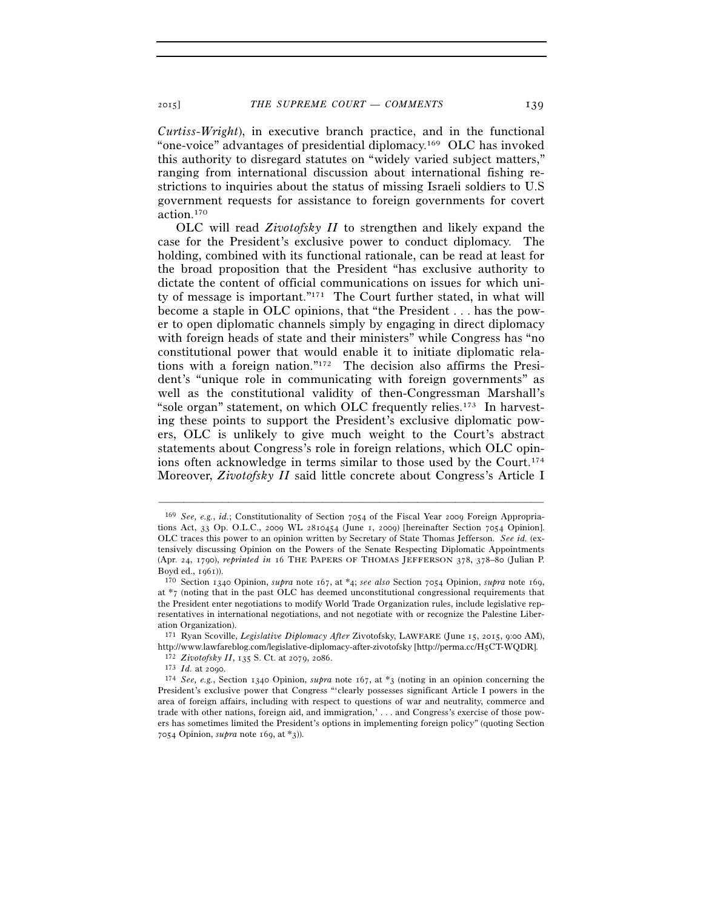*Curtiss-Wright*), in executive branch practice, and in the functional "one-voice" advantages of presidential diplomacy.169 OLC has invoked this authority to disregard statutes on "widely varied subject matters," ranging from international discussion about international fishing restrictions to inquiries about the status of missing Israeli soldiers to U.S government requests for assistance to foreign governments for covert action.170

OLC will read *Zivotofsky II* to strengthen and likely expand the case for the President's exclusive power to conduct diplomacy. The holding, combined with its functional rationale, can be read at least for the broad proposition that the President "has exclusive authority to dictate the content of official communications on issues for which unity of message is important."171 The Court further stated, in what will become a staple in OLC opinions, that "the President . . . has the power to open diplomatic channels simply by engaging in direct diplomacy with foreign heads of state and their ministers" while Congress has "no constitutional power that would enable it to initiate diplomatic relations with a foreign nation."172 The decision also affirms the President's "unique role in communicating with foreign governments" as well as the constitutional validity of then-Congressman Marshall's "sole organ" statement, on which OLC frequently relies.173 In harvesting these points to support the President's exclusive diplomatic powers, OLC is unlikely to give much weight to the Court's abstract statements about Congress's role in foreign relations, which OLC opinions often acknowledge in terms similar to those used by the Court.174 Moreover, *Zivotofsky II* said little concrete about Congress's Article I

<sup>169</sup> *See, e.g.*, *id.*; Constitutionality of Section 7054 of the Fiscal Year 2009 Foreign Appropriations Act, 33 Op. O.L.C., 2009 WL 2810454 (June 1, 2009) [hereinafter Section 7054 Opinion]. OLC traces this power to an opinion written by Secretary of State Thomas Jefferson. *See id.* (extensively discussing Opinion on the Powers of the Senate Respecting Diplomatic Appointments (Apr. 24, 1790), *reprinted in* 16 THE PAPERS OF THOMAS JEFFERSON 378, 378–80 (Julian P. Boyd ed., 1961)). 170 Section 1340 Opinion, *supra* note 167, at \*4; *see also* Section 7054 Opinion, *supra* note 169,

at \*7 (noting that in the past OLC has deemed unconstitutional congressional requirements that the President enter negotiations to modify World Trade Organization rules, include legislative representatives in international negotiations, and not negotiate with or recognize the Palestine Liberation Organization).

<sup>171</sup> Ryan Scoville, *Legislative Diplomacy After* Zivotofsky, LAWFARE (June 15, 2015, 9:00 AM), http://www.lawfareblog.com/legislative-diplomacy-after-zivotofsky [http://perma.cc/H5CT-WQDR].<br><sup>172</sup> Zivotofsky II, 135 S. Ct. at 2079, 2086.<br><sup>173</sup> Id. at 2090.<br><sup>174</sup> See, e.g., Section 1340 Opinion, *supra* note 167, at

President's exclusive power that Congress "'clearly possesses significant Article I powers in the area of foreign affairs, including with respect to questions of war and neutrality, commerce and trade with other nations, foreign aid, and immigration,' . . . and Congress's exercise of those powers has sometimes limited the President's options in implementing foreign policy" (quoting Section 7054 Opinion, *supra* note 169, at \*3)).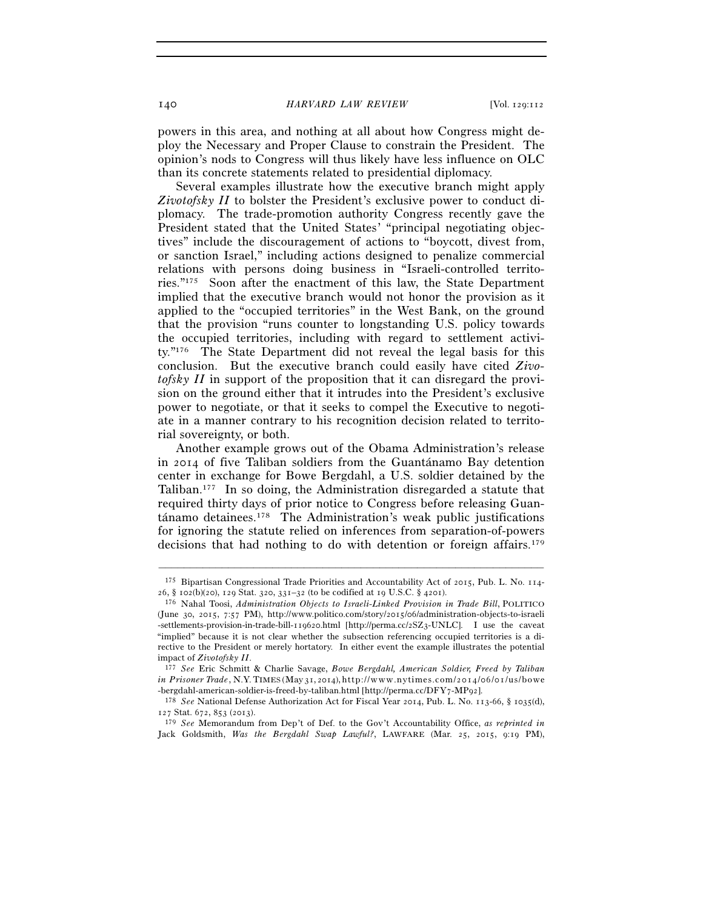powers in this area, and nothing at all about how Congress might deploy the Necessary and Proper Clause to constrain the President. The opinion's nods to Congress will thus likely have less influence on OLC than its concrete statements related to presidential diplomacy.

Several examples illustrate how the executive branch might apply *Zivotofsky II* to bolster the President's exclusive power to conduct diplomacy. The trade-promotion authority Congress recently gave the President stated that the United States' "principal negotiating objectives" include the discouragement of actions to "boycott, divest from, or sanction Israel," including actions designed to penalize commercial relations with persons doing business in "Israeli-controlled territories."175 Soon after the enactment of this law, the State Department implied that the executive branch would not honor the provision as it applied to the "occupied territories" in the West Bank, on the ground that the provision "runs counter to longstanding U.S. policy towards the occupied territories, including with regard to settlement activity."176 The State Department did not reveal the legal basis for this conclusion. But the executive branch could easily have cited *Zivotofsky II* in support of the proposition that it can disregard the provision on the ground either that it intrudes into the President's exclusive power to negotiate, or that it seeks to compel the Executive to negotiate in a manner contrary to his recognition decision related to territorial sovereignty, or both.

Another example grows out of the Obama Administration's release in 2014 of five Taliban soldiers from the Guantánamo Bay detention center in exchange for Bowe Bergdahl, a U.S. soldier detained by the Taliban.177 In so doing, the Administration disregarded a statute that required thirty days of prior notice to Congress before releasing Guantánamo detainees.178 The Administration's weak public justifications for ignoring the statute relied on inferences from separation-of-powers decisions that had nothing to do with detention or foreign affairs.179

<sup>–––––––––––––––––––––––––––––––––––––––––––––––––––––––––––––</sup> 175 Bipartisan Congressional Trade Priorities and Accountability Act of 2015, Pub. L. No. 114- <sup>26</sup>, § 102(b)(20), 129 Stat. 320, 331–32 (to be codified at 19 U.S.C. § 4201). 176 Nahal Toosi, *Administration Objects to Israeli-Linked Provision in Trade Bill*, POLITICO

<sup>(</sup>June 30, 2015, 7:57 PM), http://www.politico.com/story/2015/06/administration-objects-to-israeli -settlements-provision-in-trade-bill-119620.html [http://perma.cc/2SZ3-UNLC]. I use the caveat "implied" because it is not clear whether the subsection referencing occupied territories is a directive to the President or merely hortatory. In either event the example illustrates the potential impact of *Zivotofsky II*.

<sup>177</sup> *See* Eric Schmitt & Charlie Savage, *Bowe Bergdahl, American Soldier, Freed by Taliban in Prisoner Trade*, N.Y. TIMES (May 31, 2014), http://www.nytimes.com/2014/06/01/us/bowe

<sup>-</sup>bergdahl-american-soldier-is-freed-by-taliban.html [http://perma.cc/DFY7-MP92]. 178 *See* National Defense Authorization Act for Fiscal Year 2014, Pub. L. No. 113-66, § 1035(d), 127 Stat. 672, 853 (2013).

<sup>179</sup> *See* Memorandum from Dep't of Def. to the Gov't Accountability Office, *as reprinted in* Jack Goldsmith, *Was the Bergdahl Swap Lawful?*, LAWFARE (Mar. 25, 2015, 9:19 PM),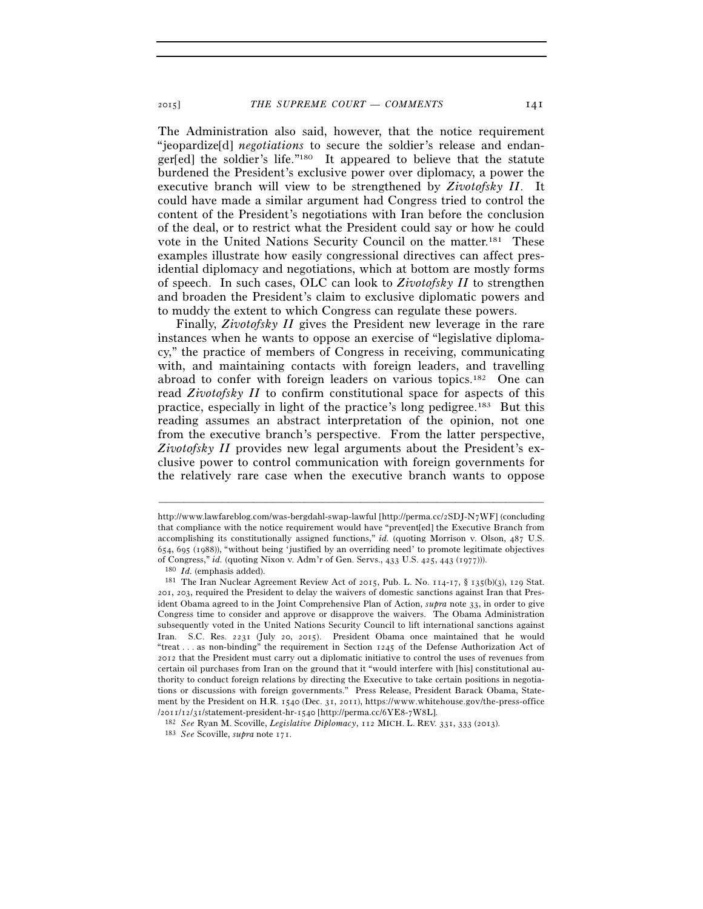The Administration also said, however, that the notice requirement "jeopardize[d] *negotiations* to secure the soldier's release and endanger[ed] the soldier's life."180 It appeared to believe that the statute burdened the President's exclusive power over diplomacy, a power the executive branch will view to be strengthened by *Zivotofsky II*. It could have made a similar argument had Congress tried to control the content of the President's negotiations with Iran before the conclusion of the deal, or to restrict what the President could say or how he could vote in the United Nations Security Council on the matter.181 These examples illustrate how easily congressional directives can affect presidential diplomacy and negotiations, which at bottom are mostly forms of speech. In such cases, OLC can look to *Zivotofsky II* to strengthen and broaden the President's claim to exclusive diplomatic powers and to muddy the extent to which Congress can regulate these powers.

Finally, *Zivotofsky II* gives the President new leverage in the rare instances when he wants to oppose an exercise of "legislative diplomacy," the practice of members of Congress in receiving, communicating with, and maintaining contacts with foreign leaders, and travelling abroad to confer with foreign leaders on various topics.182 One can read *Zivotofsky II* to confirm constitutional space for aspects of this practice, especially in light of the practice's long pedigree.183 But this reading assumes an abstract interpretation of the opinion, not one from the executive branch's perspective. From the latter perspective, *Zivotofsky II* provides new legal arguments about the President's exclusive power to control communication with foreign governments for the relatively rare case when the executive branch wants to oppose

http://www.lawfareblog.com/was-bergdahl-swap-lawful [http://perma.cc/2SDJ-N7WF] (concluding that compliance with the notice requirement would have "prevent[ed] the Executive Branch from accomplishing its constitutionally assigned functions," *id.* (quoting Morrison v. Olson, 487 U.S. 654, 695 (1988)), "without being 'justified by an overriding need' to promote legitimate objectives of Congress," *id.* (quoting Nixon v. Adm'r of Gen. Servs., 433 U.S. 425, 443 (1977))).<br><sup>180</sup> *Id.* (emphasis added).<br><sup>181</sup> The Iran Nuclear Agreement Review Act of 2015, Pub. L. No. 114-17, § 135(b)(3), 129 Stat.

<sup>201</sup>, 203, required the President to delay the waivers of domestic sanctions against Iran that President Obama agreed to in the Joint Comprehensive Plan of Action, *supra* note 33, in order to give Congress time to consider and approve or disapprove the waivers. The Obama Administration subsequently voted in the United Nations Security Council to lift international sanctions against Iran. S.C. Res. 2231 (July 20, 2015). President Obama once maintained that he would "treat . . . as non-binding" the requirement in Section 1245 of the Defense Authorization Act of 2012 that the President must carry out a diplomatic initiative to control the uses of revenues from certain oil purchases from Iran on the ground that it "would interfere with [his] constitutional authority to conduct foreign relations by directing the Executive to take certain positions in negotiations or discussions with foreign governments." Press Release, President Barack Obama, Statement by the President on H.R. 1540 (Dec. 31, 2011), https://www.whitehouse.gov/the-press-office<br> $/2011/12/31/statement-president-hr-1540$  [http://perma.cc/6YE8-7W8L].

 $^{182}$  See Ryan M. Scoville, Legislative Diplomacy, 112 MICH. L. REV. 331, 333 (2013).  $^{183}$  See Scoville, supra note 171.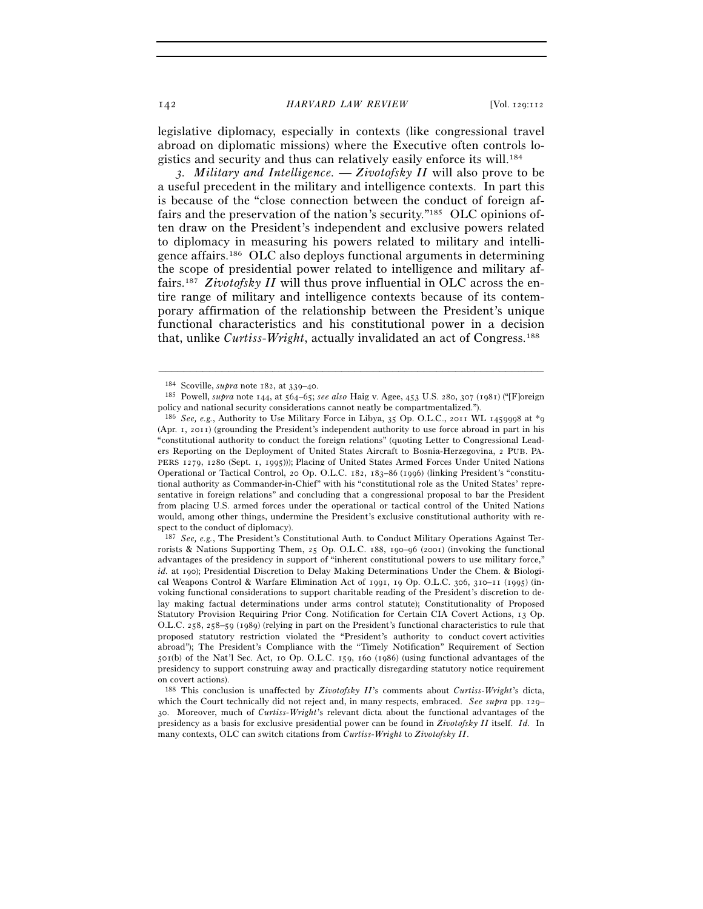legislative diplomacy, especially in contexts (like congressional travel abroad on diplomatic missions) where the Executive often controls logistics and security and thus can relatively easily enforce its will.184

*3. Military and Intelligence.* — *Zivotofsky II* will also prove to be a useful precedent in the military and intelligence contexts. In part this is because of the "close connection between the conduct of foreign affairs and the preservation of the nation's security."185 OLC opinions often draw on the President's independent and exclusive powers related to diplomacy in measuring his powers related to military and intelligence affairs.186 OLC also deploys functional arguments in determining the scope of presidential power related to intelligence and military affairs.187 *Zivotofsky II* will thus prove influential in OLC across the entire range of military and intelligence contexts because of its contemporary affirmation of the relationship between the President's unique functional characteristics and his constitutional power in a decision that, unlike *Curtiss-Wright*, actually invalidated an act of Congress.188

<sup>184</sup> Scoville, *supra* note 182, at 339–40. 185 Powell, *supra* note 144, at 564–65; *see also* Haig v. Agee, 453 U.S. 280, 307 (1981) ("[F]oreign policy and national security considerations cannot neatly be compartmentalized.").

<sup>186</sup> *See, e.g.*, Authority to Use Military Force in Libya, 35 Op. O.L.C., 2011 WL 1459998 at \*9 (Apr. 1, 2011) (grounding the President's independent authority to use force abroad in part in his "constitutional authority to conduct the foreign relations" (quoting Letter to Congressional Leaders Reporting on the Deployment of United States Aircraft to Bosnia-Herzegovina, 2 PUB. PA-PERS 1279, 1280 (Sept. 1, 1995))); Placing of United States Armed Forces Under United Nations Operational or Tactical Control, 20 Op. O.L.C. 182, 183–86 (1996) (linking President's "constitutional authority as Commander-in-Chief" with his "constitutional role as the United States' representative in foreign relations" and concluding that a congressional proposal to bar the President from placing U.S. armed forces under the operational or tactical control of the United Nations would, among other things, undermine the President's exclusive constitutional authority with respect to the conduct of diplomacy).

<sup>187</sup> *See, e.g.*, The President's Constitutional Auth. to Conduct Military Operations Against Terrorists & Nations Supporting Them,  $25$  Op. O.L.C. 188, 190–96 (2001) (invoking the functional advantages of the presidency in support of "inherent constitutional powers to use military force," id. at 190); Presidential Discretion to Delay Making Determinations Under the Chem. & Biological Weapons Control & Warfare Elimination Act of 1991, 19 Op. O.L.C. 306, 310–11 (1995) (invoking functional considerations to support charitable reading of the President's discretion to delay making factual determinations under arms control statute); Constitutionality of Proposed Statutory Provision Requiring Prior Cong. Notification for Certain CIA Covert Actions, 13 Op. O.L.C. 258, 258–59 (1989) (relying in part on the President's functional characteristics to rule that proposed statutory restriction violated the "President's authority to conduct covert activities abroad"); The President's Compliance with the "Timely Notification" Requirement of Section 501(b) of the Nat'l Sec. Act, 10 Op. O.L.C. 159, 160 (1986) (using functional advantages of the presidency to support construing away and practically disregarding statutory notice requirement on covert actions).

<sup>188</sup> This conclusion is unaffected by *Zivotofsky II*'s comments about *Curtiss-Wright*'s dicta, which the Court technically did not reject and, in many respects, embraced. *See supra* pp. 129– 30. Moreover, much of *Curtiss-Wright*'s relevant dicta about the functional advantages of the presidency as a basis for exclusive presidential power can be found in *Zivotofsky II* itself. *Id.* In many contexts, OLC can switch citations from *Curtiss-Wright* to *Zivotofsky II*.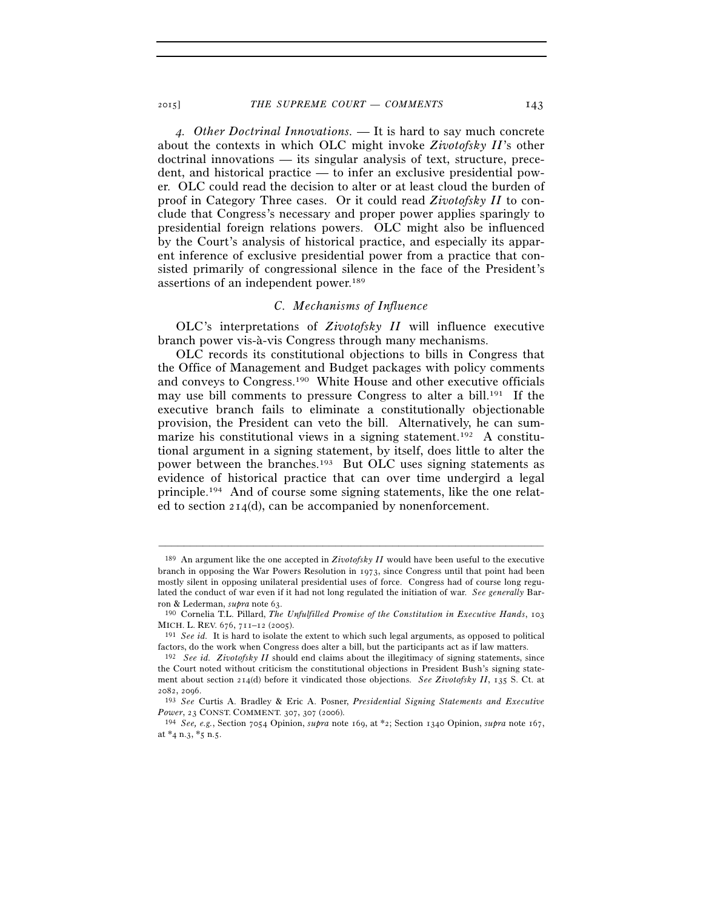*4. Other Doctrinal Innovations.* — It is hard to say much concrete about the contexts in which OLC might invoke *Zivotofsky II*'s other doctrinal innovations — its singular analysis of text, structure, precedent, and historical practice — to infer an exclusive presidential power. OLC could read the decision to alter or at least cloud the burden of proof in Category Three cases. Or it could read *Zivotofsky II* to conclude that Congress's necessary and proper power applies sparingly to presidential foreign relations powers. OLC might also be influenced by the Court's analysis of historical practice, and especially its apparent inference of exclusive presidential power from a practice that consisted primarily of congressional silence in the face of the President's assertions of an independent power.189

### *C. Mechanisms of Influence*

OLC's interpretations of *Zivotofsky II* will influence executive branch power vis-à-vis Congress through many mechanisms.

OLC records its constitutional objections to bills in Congress that the Office of Management and Budget packages with policy comments and conveys to Congress.190 White House and other executive officials may use bill comments to pressure Congress to alter a bill.<sup>191</sup> If the executive branch fails to eliminate a constitutionally objectionable provision, the President can veto the bill. Alternatively, he can summarize his constitutional views in a signing statement.<sup>192</sup> A constitutional argument in a signing statement, by itself, does little to alter the power between the branches.193 But OLC uses signing statements as evidence of historical practice that can over time undergird a legal principle.194 And of course some signing statements, like the one related to section 214(d), can be accompanied by nonenforcement.

<sup>189</sup> An argument like the one accepted in *Zivotofsky II* would have been useful to the executive branch in opposing the War Powers Resolution in 1973, since Congress until that point had been mostly silent in opposing unilateral presidential uses of force. Congress had of course long regulated the conduct of war even if it had not long regulated the initiation of war. *See generally* Barron & Lederman, *supra* note 63. 190 Cornelia T.L. Pillard, *The Unfulfilled Promise of the Constitution in Executive Hands*, <sup>103</sup>

MICH. L. REV. 676, 711–12 (2005). 191 *See id.* It is hard to isolate the extent to which such legal arguments, as opposed to political

factors, do the work when Congress does alter a bill, but the participants act as if law matters.

<sup>192</sup> *See id. Zivotofsky II* should end claims about the illegitimacy of signing statements, since the Court noted without criticism the constitutional objections in President Bush's signing statement about section 214(d) before it vindicated those objections. *See Zivotofsky II*, 135 S. Ct. at <sup>2082</sup>, 2096. 193 *See* Curtis A. Bradley & Eric A. Posner, *Presidential Signing Statements and Executive* 

*Power*, 23 CONST. COMMENT. 307, 307 (2006). 194 *See, e.g.*, Section 7054 Opinion, *supra* note 169, at \*2; Section 1340 Opinion, *supra* note 167,

at  $*$ 4 n.3,  $*$ 5 n.5.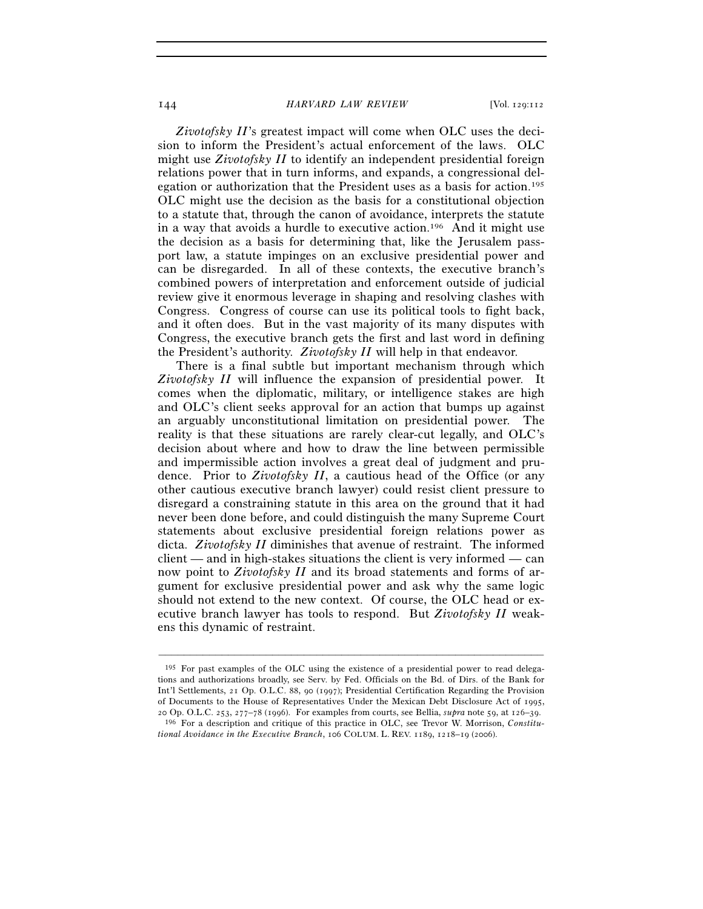*Zivotofsky II*'s greatest impact will come when OLC uses the decision to inform the President's actual enforcement of the laws. OLC might use *Zivotofsky II* to identify an independent presidential foreign relations power that in turn informs, and expands, a congressional delegation or authorization that the President uses as a basis for action.195 OLC might use the decision as the basis for a constitutional objection to a statute that, through the canon of avoidance, interprets the statute in a way that avoids a hurdle to executive action.196 And it might use the decision as a basis for determining that, like the Jerusalem passport law, a statute impinges on an exclusive presidential power and can be disregarded. In all of these contexts, the executive branch's combined powers of interpretation and enforcement outside of judicial review give it enormous leverage in shaping and resolving clashes with Congress. Congress of course can use its political tools to fight back, and it often does. But in the vast majority of its many disputes with Congress, the executive branch gets the first and last word in defining the President's authority. *Zivotofsky II* will help in that endeavor.

There is a final subtle but important mechanism through which *Zivotofsky II* will influence the expansion of presidential power. It comes when the diplomatic, military, or intelligence stakes are high and OLC's client seeks approval for an action that bumps up against an arguably unconstitutional limitation on presidential power. The reality is that these situations are rarely clear-cut legally, and OLC's decision about where and how to draw the line between permissible and impermissible action involves a great deal of judgment and prudence. Prior to *Zivotofsky II*, a cautious head of the Office (or any other cautious executive branch lawyer) could resist client pressure to disregard a constraining statute in this area on the ground that it had never been done before, and could distinguish the many Supreme Court statements about exclusive presidential foreign relations power as dicta. *Zivotofsky II* diminishes that avenue of restraint. The informed client — and in high-stakes situations the client is very informed — can now point to *Zivotofsky II* and its broad statements and forms of argument for exclusive presidential power and ask why the same logic should not extend to the new context. Of course, the OLC head or executive branch lawyer has tools to respond. But *Zivotofsky II* weakens this dynamic of restraint.

<sup>195</sup> For past examples of the OLC using the existence of a presidential power to read delegations and authorizations broadly, see Serv. by Fed. Officials on the Bd. of Dirs. of the Bank for Int'l Settlements, 21 Op. O.L.C. 88, 90 (1997); Presidential Certification Regarding the Provision of Documents to the House of Representatives Under the Mexican Debt Disclosure Act of 1995, 20 Op. O.L.C. 253, 277–78 (1996). For examples from courts, see Bellia, *supra* note 59, at 126–39.

<sup>&</sup>lt;sup>196</sup> For a description and critique of this practice in OLC, see Trevor W. Morrison, *Constitutional Avoidance in the Executive Branch*, 106 COLUM. L. REV. 1189, 1218–19 (2006).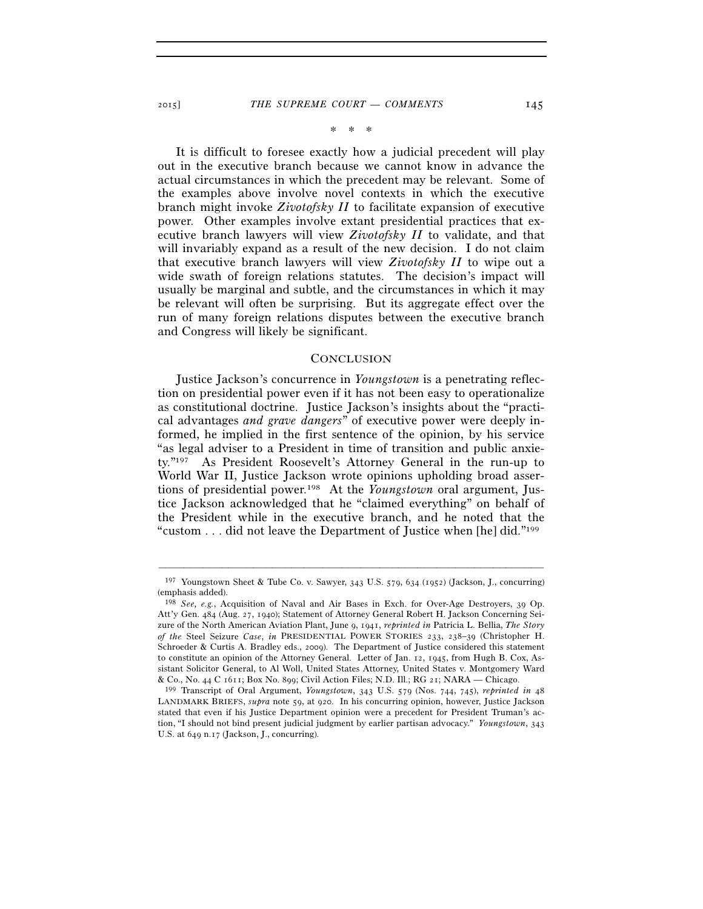### 2015] *THE SUPREME COURT — COMMENTS* 145

\* \* \*

It is difficult to foresee exactly how a judicial precedent will play out in the executive branch because we cannot know in advance the actual circumstances in which the precedent may be relevant. Some of the examples above involve novel contexts in which the executive branch might invoke *Zivotofsky II* to facilitate expansion of executive power. Other examples involve extant presidential practices that executive branch lawyers will view *Zivotofsky II* to validate, and that will invariably expand as a result of the new decision. I do not claim that executive branch lawyers will view *Zivotofsky II* to wipe out a wide swath of foreign relations statutes. The decision's impact will usually be marginal and subtle, and the circumstances in which it may be relevant will often be surprising. But its aggregate effect over the run of many foreign relations disputes between the executive branch and Congress will likely be significant.

### **CONCLUSION**

Justice Jackson's concurrence in *Youngstown* is a penetrating reflection on presidential power even if it has not been easy to operationalize as constitutional doctrine. Justice Jackson's insights about the "practical advantages *and grave dangers*" of executive power were deeply informed, he implied in the first sentence of the opinion, by his service "as legal adviser to a President in time of transition and public anxiety."197 As President Roosevelt's Attorney General in the run-up to World War II, Justice Jackson wrote opinions upholding broad assertions of presidential power.198 At the *Youngstown* oral argument, Justice Jackson acknowledged that he "claimed everything" on behalf of the President while in the executive branch, and he noted that the "custom . . . did not leave the Department of Justice when [he] did."199

<sup>–––––––––––––––––––––––––––––––––––––––––––––––––––––––––––––</sup> 197 Youngstown Sheet & Tube Co. v. Sawyer, 343 U.S. 579, 634 (1952) (Jackson, J., concurring) (emphasis added).

<sup>198</sup> *See, e.g.*, Acquisition of Naval and Air Bases in Exch. for Over-Age Destroyers, 39 Op. Att'y Gen. 484 (Aug. 27, 1940); Statement of Attorney General Robert H. Jackson Concerning Seizure of the North American Aviation Plant, June 9, 1941, *reprinted in* Patricia L. Bellia, *The Story of the* Steel Seizure *Case*, *in* PRESIDENTIAL POWER STORIES 233, 238–39 (Christopher H. Schroeder & Curtis A. Bradley eds., 2009). The Department of Justice considered this statement to constitute an opinion of the Attorney General. Letter of Jan. 12, 1945, from Hugh B. Cox, Assistant Solicitor General, to Al Woll, United States Attorney, United States v. Montgomery Ward & Co., No. 44 C 1611; Box No. 899; Civil Action Files; N.D. Ill.; RG 21; NARA — Chicago.

<sup>&</sup>lt;sup>199</sup> Transcript of Oral Argument, *Youngstown*, 343 U.S. 579 (Nos. 744, 745), *reprinted in* 48 LANDMARK BRIEFS, *supra* note 59, at 920. In his concurring opinion, however, Justice Jackson stated that even if his Justice Department opinion were a precedent for President Truman's action, "I should not bind present judicial judgment by earlier partisan advocacy." *Youngstown*, 343 U.S. at 649 n.17 (Jackson, J., concurring).